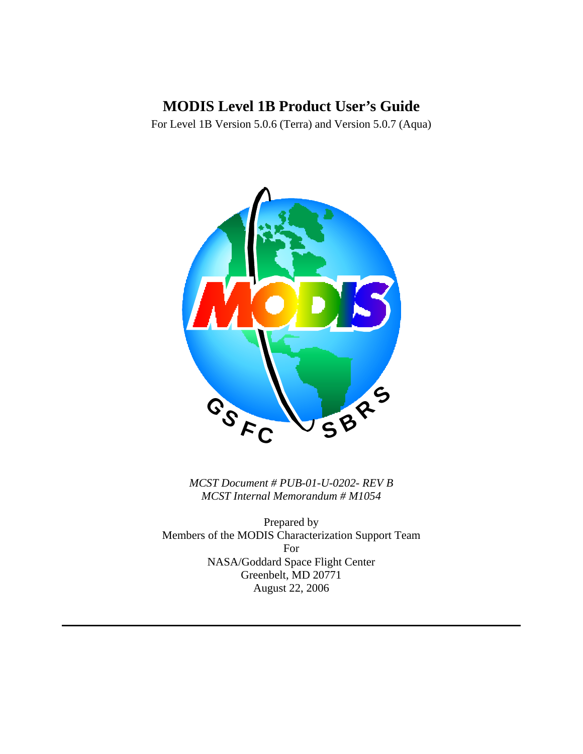# **MODIS Level 1B Product User's Guide**

For Level 1B Version 5.0.6 (Terra) and Version 5.0.7 (Aqua)



*MCST Document # PUB-01-U-0202- REV B MCST Internal Memorandum # M1054* 

Prepared by Members of the MODIS Characterization Support Team For NASA/Goddard Space Flight Center Greenbelt, MD 20771 August 22, 2006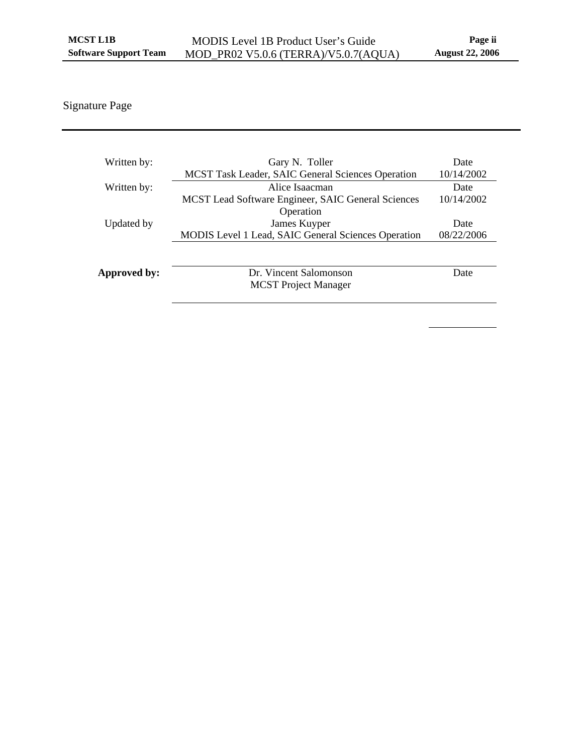## Signature Page

| Written by:  | Gary N. Toller                                      | Date       |
|--------------|-----------------------------------------------------|------------|
|              | MCST Task Leader, SAIC General Sciences Operation   | 10/14/2002 |
| Written by:  | Alice Isaacman                                      | Date       |
|              | MCST Lead Software Engineer, SAIC General Sciences  | 10/14/2002 |
|              | Operation                                           |            |
| Updated by   | James Kuyper                                        | Date       |
|              | MODIS Level 1 Lead, SAIC General Sciences Operation | 08/22/2006 |
|              |                                                     |            |
|              |                                                     |            |
| Approved by: | Dr. Vincent Salomonson                              | Date       |
|              | <b>MCST</b> Project Manager                         |            |
|              |                                                     |            |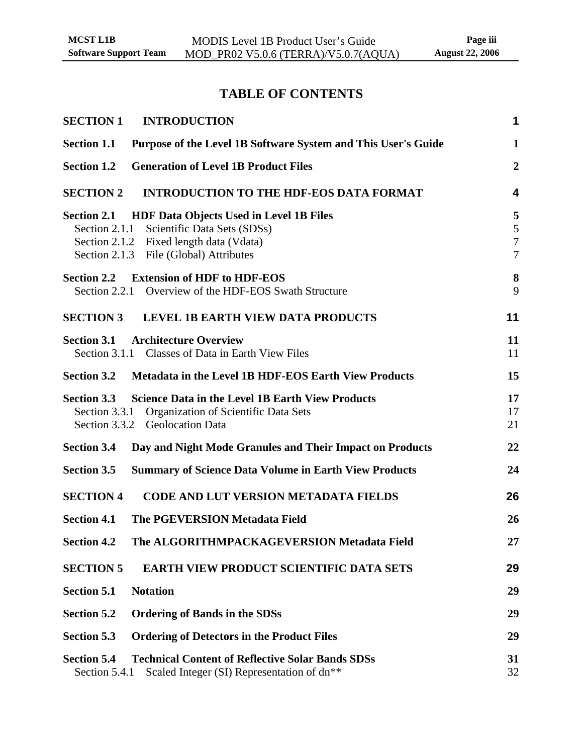# **TABLE OF CONTENTS**

| <b>INTRODUCTION</b><br><b>SECTION 1</b>                                                                                                                                                                | $\mathbf 1$                                         |
|--------------------------------------------------------------------------------------------------------------------------------------------------------------------------------------------------------|-----------------------------------------------------|
| Purpose of the Level 1B Software System and This User's Guide<br><b>Section 1.1</b>                                                                                                                    | $\mathbf{1}$                                        |
| <b>Generation of Level 1B Product Files</b><br><b>Section 1.2</b>                                                                                                                                      | $\overline{2}$                                      |
| <b>SECTION 2</b><br><b>INTRODUCTION TO THE HDF-EOS DATA FORMAT</b>                                                                                                                                     | 4                                                   |
| <b>HDF Data Objects Used in Level 1B Files</b><br><b>Section 2.1</b><br>Section 2.1.1 Scientific Data Sets (SDSs)<br>Section 2.1.2 Fixed length data (Vdata)<br>Section 2.1.3 File (Global) Attributes | 5<br>$\sqrt{5}$<br>$\overline{7}$<br>$\overline{7}$ |
| <b>Extension of HDF to HDF-EOS</b><br><b>Section 2.2</b><br>Section 2.2.1 Overview of the HDF-EOS Swath Structure                                                                                      | 8<br>9                                              |
| <b>SECTION 3</b><br><b>LEVEL 1B EARTH VIEW DATA PRODUCTS</b>                                                                                                                                           | 11                                                  |
| <b>Section 3.1</b><br><b>Architecture Overview</b><br>Section 3.1.1 Classes of Data in Earth View Files                                                                                                | 11<br>11                                            |
| <b>Section 3.2</b><br><b>Metadata in the Level 1B HDF-EOS Earth View Products</b>                                                                                                                      | 15                                                  |
| <b>Science Data in the Level 1B Earth View Products</b><br><b>Section 3.3</b><br>Organization of Scientific Data Sets<br>Section 3.3.1<br>Section 3.3.2 Geolocation Data                               | 17<br>17<br>21                                      |
| <b>Section 3.4</b><br>Day and Night Mode Granules and Their Impact on Products                                                                                                                         | 22                                                  |
| <b>Section 3.5</b><br><b>Summary of Science Data Volume in Earth View Products</b>                                                                                                                     | 24                                                  |
| <b>SECTION 4</b><br><b>CODE AND LUT VERSION METADATA FIELDS</b>                                                                                                                                        | 26                                                  |
| <b>Section 4.1</b><br><b>The PGEVERSION Metadata Field</b>                                                                                                                                             | 26                                                  |
| The ALGORITHMPACKAGEVERSION Metadata Field<br><b>Section 4.2</b>                                                                                                                                       | 27                                                  |
| <b>SECTION 5</b><br><b>EARTH VIEW PRODUCT SCIENTIFIC DATA SETS</b>                                                                                                                                     | 29                                                  |
| <b>Section 5.1</b><br><b>Notation</b>                                                                                                                                                                  | 29                                                  |
| <b>Section 5.2</b><br><b>Ordering of Bands in the SDSs</b>                                                                                                                                             | 29                                                  |
| <b>Section 5.3</b><br><b>Ordering of Detectors in the Product Files</b>                                                                                                                                | 29                                                  |
| <b>Section 5.4</b><br><b>Technical Content of Reflective Solar Bands SDSs</b><br>Section 5.4.1<br>Scaled Integer (SI) Representation of dn**                                                           | 31<br>32                                            |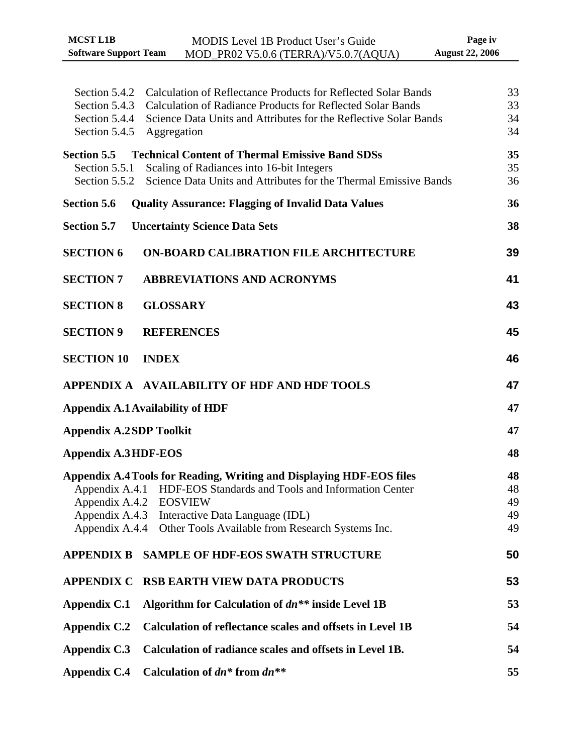| <b>MCST L1B</b>              | MODIS Level 1B Product User's Guide  | Page iv                |
|------------------------------|--------------------------------------|------------------------|
| <b>Software Support Team</b> | MOD_PR02 V5.0.6 (TERRA)/V5.0.7(AQUA) | <b>August 22, 2006</b> |

| Section 5.4.2<br>Section 5.4.3<br>Section 5.4.4<br>Section 5.4.5 | Calculation of Reflectance Products for Reflected Solar Bands<br><b>Calculation of Radiance Products for Reflected Solar Bands</b><br>Science Data Units and Attributes for the Reflective Solar Bands<br>Aggregation                                      | 33<br>33<br>34<br>34       |
|------------------------------------------------------------------|------------------------------------------------------------------------------------------------------------------------------------------------------------------------------------------------------------------------------------------------------------|----------------------------|
| <b>Section 5.5</b><br>Section 5.5.1<br>Section 5.5.2             | <b>Technical Content of Thermal Emissive Band SDSs</b><br>Scaling of Radiances into 16-bit Integers<br>Science Data Units and Attributes for the Thermal Emissive Bands                                                                                    | 35<br>35<br>36             |
| <b>Section 5.6</b>                                               | <b>Quality Assurance: Flagging of Invalid Data Values</b>                                                                                                                                                                                                  | 36                         |
| <b>Section 5.7</b>                                               | <b>Uncertainty Science Data Sets</b>                                                                                                                                                                                                                       | 38                         |
| <b>SECTION 6</b>                                                 | <b>ON-BOARD CALIBRATION FILE ARCHITECTURE</b>                                                                                                                                                                                                              | 39                         |
| <b>SECTION 7</b>                                                 | <b>ABBREVIATIONS AND ACRONYMS</b>                                                                                                                                                                                                                          | 41                         |
| <b>SECTION 8</b>                                                 | <b>GLOSSARY</b>                                                                                                                                                                                                                                            | 43                         |
| <b>SECTION 9</b>                                                 | <b>REFERENCES</b>                                                                                                                                                                                                                                          | 45                         |
| <b>SECTION 10</b>                                                | <b>INDEX</b>                                                                                                                                                                                                                                               | 46                         |
|                                                                  | APPENDIX A AVAILABILITY OF HDF AND HDF TOOLS                                                                                                                                                                                                               | 47                         |
|                                                                  | <b>Appendix A.1 Availability of HDF</b>                                                                                                                                                                                                                    | 47                         |
| <b>Appendix A.2SDP Toolkit</b>                                   |                                                                                                                                                                                                                                                            | 47                         |
| <b>Appendix A.3HDF-EOS</b>                                       |                                                                                                                                                                                                                                                            | 48                         |
| Appendix A.4.3<br>Appendix A.4.4                                 | Appendix A.4 Tools for Reading, Writing and Displaying HDF-EOS files<br>Appendix A.4.1 HDF-EOS Standards and Tools and Information Center<br>Appendix A.4.2 EOSVIEW<br>Interactive Data Language (IDL)<br>Other Tools Available from Research Systems Inc. | 48<br>48<br>49<br>49<br>49 |
| <b>APPENDIX B</b>                                                | <b>SAMPLE OF HDF-EOS SWATH STRUCTURE</b>                                                                                                                                                                                                                   | 50                         |
| <b>APPENDIX C</b>                                                | <b>RSB EARTH VIEW DATA PRODUCTS</b>                                                                                                                                                                                                                        | 53                         |
| Appendix C.1                                                     | Algorithm for Calculation of $dn**$ inside Level 1B                                                                                                                                                                                                        | 53                         |
| <b>Appendix C.2</b>                                              | <b>Calculation of reflectance scales and offsets in Level 1B</b>                                                                                                                                                                                           | 54                         |
| Appendix C.3                                                     | Calculation of radiance scales and offsets in Level 1B.                                                                                                                                                                                                    | 54                         |
| <b>Appendix C.4</b>                                              | Calculation of $dn^*$ from $dn^{**}$                                                                                                                                                                                                                       | 55                         |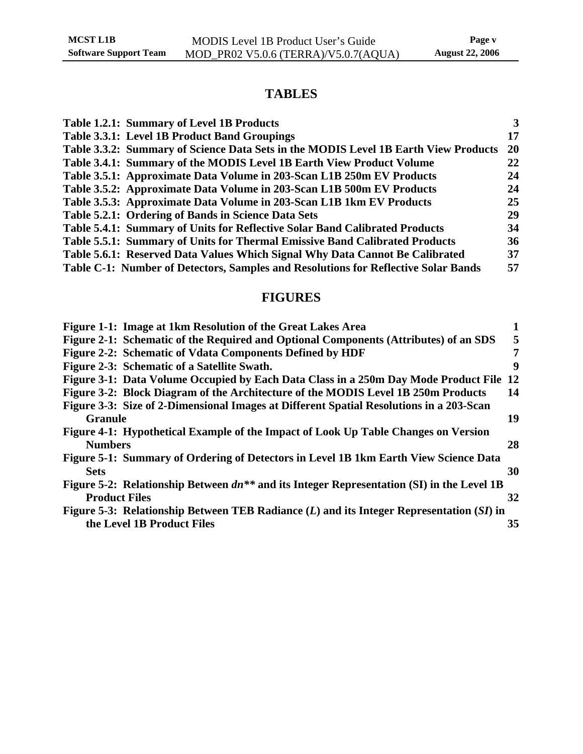## **TABLES**

| Table 1.2.1: Summary of Level 1B Products                                           | 3         |
|-------------------------------------------------------------------------------------|-----------|
| Table 3.3.1: Level 1B Product Band Groupings                                        | 17        |
| Table 3.3.2: Summary of Science Data Sets in the MODIS Level 1B Earth View Products | <b>20</b> |
| Table 3.4.1: Summary of the MODIS Level 1B Earth View Product Volume                | 22        |
| Table 3.5.1: Approximate Data Volume in 203-Scan L1B 250m EV Products               | 24        |
| Table 3.5.2: Approximate Data Volume in 203-Scan L1B 500m EV Products               | 24        |
| Table 3.5.3: Approximate Data Volume in 203-Scan L1B 1km EV Products                | 25        |
| Table 5.2.1: Ordering of Bands in Science Data Sets                                 | 29        |
| Table 5.4.1: Summary of Units for Reflective Solar Band Calibrated Products         | 34        |
| Table 5.5.1: Summary of Units for Thermal Emissive Band Calibrated Products         | 36        |
| Table 5.6.1: Reserved Data Values Which Signal Why Data Cannot Be Calibrated        | 37        |
| Table C-1: Number of Detectors, Samples and Resolutions for Reflective Solar Bands  | 57        |
|                                                                                     |           |

## **FIGURES**

| Figure 1-1: Image at 1km Resolution of the Great Lakes Area                                    |           |
|------------------------------------------------------------------------------------------------|-----------|
| Figure 2-1: Schematic of the Required and Optional Components (Attributes) of an SDS           | 5         |
| Figure 2-2: Schematic of Vdata Components Defined by HDF                                       | 7         |
| Figure 2-3: Schematic of a Satellite Swath.                                                    | 9         |
| Figure 3-1: Data Volume Occupied by Each Data Class in a 250m Day Mode Product File            | <b>12</b> |
| Figure 3-2: Block Diagram of the Architecture of the MODIS Level 1B 250m Products              | 14        |
| Figure 3-3: Size of 2-Dimensional Images at Different Spatial Resolutions in a 203-Scan        |           |
| <b>Granule</b>                                                                                 | 19        |
| Figure 4-1: Hypothetical Example of the Impact of Look Up Table Changes on Version             |           |
| <b>Numbers</b>                                                                                 | 28        |
| Figure 5-1: Summary of Ordering of Detectors in Level 1B 1km Earth View Science Data           |           |
| <b>Sets</b>                                                                                    | 30        |
| Figure 5-2: Relationship Between $dn^{**}$ and its Integer Representation (SI) in the Level 1B |           |
| <b>Product Files</b>                                                                           | 32        |
| Figure 5-3: Relationship Between TEB Radiance $(L)$ and its Integer Representation $(SI)$ in   |           |
| the Level 1B Product Files                                                                     | 35        |
|                                                                                                |           |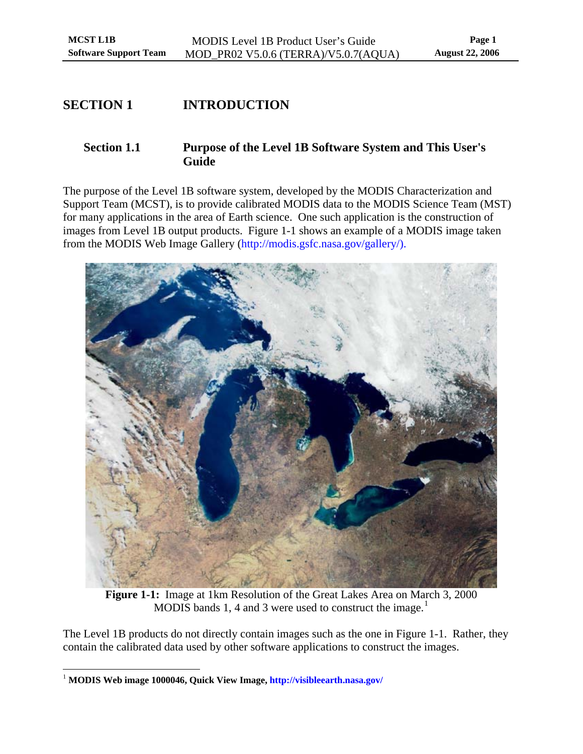## <span id="page-5-0"></span>**SECTION 1 INTRODUCTION**

## **Section 1.1 Purpose of the Level 1B Software System and This User's Guide**

The purpose of the Level 1B software system, developed by the MODIS Characterization and Support Team (MCST), is to provide calibrated MODIS data to the MODIS Science Team (MST) for many applications in the area of Earth science. One such application is the construction of images from Level 1B output products. [Figure 1-1](#page-5-1) shows an example of a MODIS image taken from the MODIS Web Image Gallery (http://modis.gsfc.nasa.gov/gallery/).



**Figure 1-1:** Image at 1km Resolution of the Great Lakes Area on March 3, 2000 MODIS bands [1](#page-5-2), 4 and 3 were used to construct the image.<sup>1</sup>

<span id="page-5-1"></span>The Level 1B products do not directly contain images such as the one in [Figure 1-1.](#page-5-1) Rather, they contain the calibrated data used by other software applications to construct the images.

<u>.</u>

<span id="page-5-2"></span><sup>1</sup> **MODIS Web image 1000046, Quick View Image,<http://visibleearth.nasa.gov/>**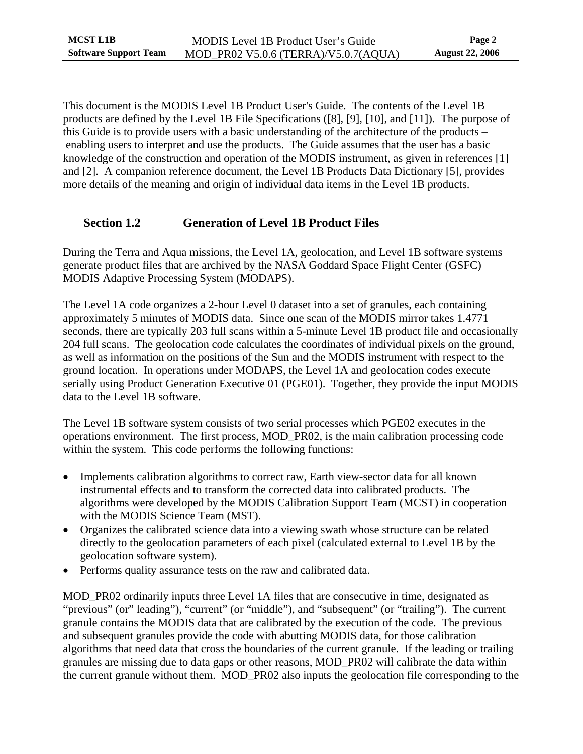<span id="page-6-0"></span>This document is the MODIS Level 1B Product User's Guide. The contents of the Level 1B products are defined by the Level 1B File Specifications ([\[8\],](#page-49-1) [\[9\],](#page-49-2) [\[10\],](#page-49-3) and [\[11\]](#page-49-4)). The purpose of this Guide is to provide users with a basic understanding of the architecture of the products – enabling users to interpret and use the products. The Guide assumes that the user has a basic knowledge of the construction and operation of the MODIS instrument, as given in references [\[1\]](#page-49-5) and [\[2\].](#page-49-6) A companion reference document, the Level 1B Products Data Dictionary [\[5\]](#page-49-7), provides more details of the meaning and origin of individual data items in the Level 1B products.

## **Section 1.2 Generation of Level 1B Product Files**

During the Terra and Aqua missions, the Level 1A, geolocation, and Level 1B software systems generate product files that are archived by the NASA Goddard Space Flight Center (GSFC) MODIS Adaptive Processing System (MODAPS).

The Level 1A code organizes a 2-hour Level 0 dataset into a set of granules, each containing approximately 5 minutes of MODIS data. Since one scan of the MODIS mirror takes 1.4771 seconds, there are typically 203 full scans within a 5-minute Level 1B product file and occasionally 204 full scans. The geolocation code calculates the coordinates of individual pixels on the ground, as well as information on the positions of the Sun and the MODIS instrument with respect to the ground location. In operations under MODAPS, the Level 1A and geolocation codes execute serially using Product Generation Executive 01 (PGE01). Together, they provide the input MODIS data to the Level 1B software.

The Level 1B software system consists of two serial processes which PGE02 executes in the operations environment. The first process, MOD\_PR02, is the main calibration processing code within the system. This code performs the following functions:

- Implements calibration algorithms to correct raw, Earth view-sector data for all known instrumental effects and to transform the corrected data into calibrated products. The algorithms were developed by the MODIS Calibration Support Team (MCST) in cooperation with the MODIS Science Team (MST).
- Organizes the calibrated science data into a viewing swath whose structure can be related directly to the geolocation parameters of each pixel (calculated external to Level 1B by the geolocation software system).
- Performs quality assurance tests on the raw and calibrated data.

MOD\_PR02 ordinarily inputs three Level 1A files that are consecutive in time, designated as "previous" (or" leading"), "current" (or "middle"), and "subsequent" (or "trailing"). The current granule contains the MODIS data that are calibrated by the execution of the code. The previous and subsequent granules provide the code with abutting MODIS data, for those calibration algorithms that need data that cross the boundaries of the current granule. If the leading or trailing granules are missing due to data gaps or other reasons, MOD\_PR02 will calibrate the data within the current granule without them. MOD\_PR02 also inputs the geolocation file corresponding to the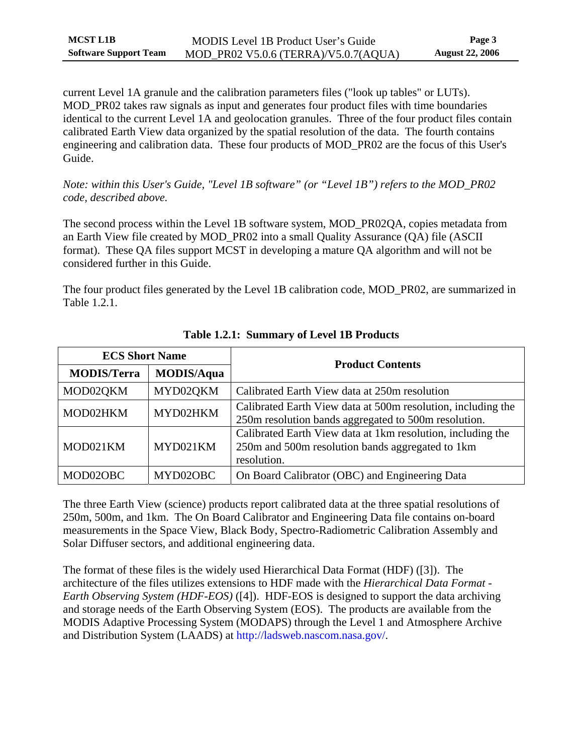<span id="page-7-0"></span>current Level 1A granule and the calibration parameters files ("look up tables" or LUTs). MOD PR02 takes raw signals as input and generates four product files with time boundaries identical to the current Level 1A and geolocation granules. Three of the four product files contain calibrated Earth View data organized by the spatial resolution of the data. The fourth contains engineering and calibration data. These four products of MOD\_PR02 are the focus of this User's Guide.

*Note: within this User's Guide, "Level 1B software" (or "Level 1B") refers to the MOD\_PR02 code, described above.* 

The second process within the Level 1B software system, MOD\_PR02QA, copies metadata from an Earth View file created by MOD\_PR02 into a small Quality Assurance (QA) file (ASCII format). These QA files support MCST in developing a mature QA algorithm and will not be considered further in this Guide.

The four product files generated by the Level 1B calibration code, MOD\_PR02, are summarized in [Table 1.2.1.](#page-7-1)

<span id="page-7-1"></span>

| <b>ECS Short Name</b> |                   | <b>Product Contents</b>                                                                                                        |  |
|-----------------------|-------------------|--------------------------------------------------------------------------------------------------------------------------------|--|
| <b>MODIS/Terra</b>    | <b>MODIS/Aqua</b> |                                                                                                                                |  |
| MOD02QKM              | MYD02QKM          | Calibrated Earth View data at 250m resolution                                                                                  |  |
| MOD02HKM              | MYD02HKM          | Calibrated Earth View data at 500m resolution, including the<br>250m resolution bands aggregated to 500m resolution.           |  |
| MOD021KM              | MYD021KM          | Calibrated Earth View data at 1km resolution, including the<br>250m and 500m resolution bands aggregated to 1km<br>resolution. |  |
| MOD02OBC              | MYD02OBC          | On Board Calibrator (OBC) and Engineering Data                                                                                 |  |

**Table 1.2.1: Summary of Level 1B Products** 

The three Earth View (science) products report calibrated data at the three spatial resolutions of 250m, 500m, and 1km. The On Board Calibrator and Engineering Data file contains on-board measurements in the Space View, Black Body, Spectro-Radiometric Calibration Assembly and Solar Diffuser sectors, and additional engineering data.

The format of these files is the widely used Hierarchical Data Format (HDF) [\(\[3\]](#page-49-8)). The architecture of the files utilizes extensions to HDF made with the *Hierarchical Data Format - Earth Observing System (HDF-EOS)* ([\[4\]](#page-49-9)). HDF-EOS is designed to support the data archiving and storage needs of the Earth Observing System (EOS). The products are available from the MODIS Adaptive Processing System (MODAPS) through the Level 1 and Atmosphere Archive and Distribution System (LAADS) at [http://ladsweb.nascom.nasa.gov/.](http://ladsweb.nascom.nasa.gov/)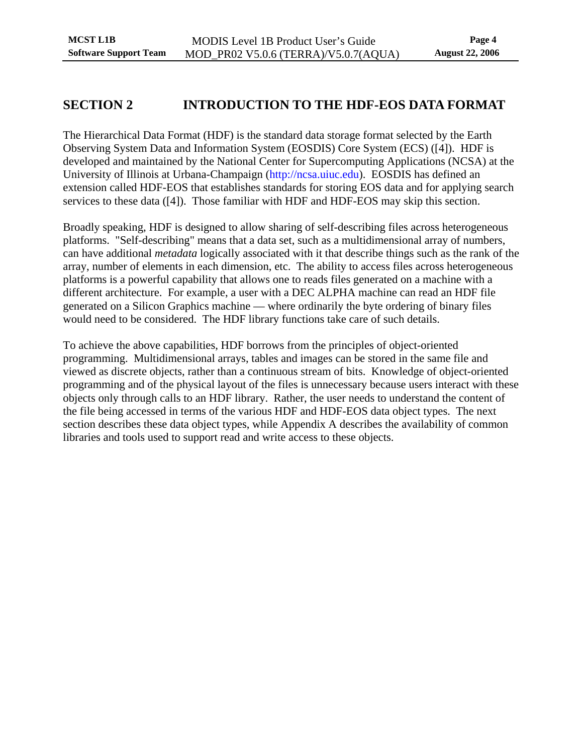## <span id="page-8-0"></span>**SECTION 2 INTRODUCTION TO THE HDF-EOS DATA FORMAT**

The Hierarchical Data Format (HDF) is the standard data storage format selected by the Earth Observing System Data and Information System (EOSDIS) Core System (ECS) ([\[4\]\)](#page-49-9). HDF is developed and maintained by the National Center for Supercomputing Applications (NCSA) at the University of Illinois at Urbana-Champaign [\(http://ncsa.uiuc.edu](http://ncsa.uiuc.edu/)). EOSDIS has defined an extension called HDF-EOS that establishes standards for storing EOS data and for applying search services to these data ([\[4\]\)](#page-49-9). Those familiar with HDF and HDF-EOS may skip this section.

Broadly speaking, HDF is designed to allow sharing of self-describing files across heterogeneous platforms. "Self-describing" means that a data set, such as a multidimensional array of numbers, can have additional *metadata* logically associated with it that describe things such as the rank of the array, number of elements in each dimension, etc. The ability to access files across heterogeneous platforms is a powerful capability that allows one to reads files generated on a machine with a different architecture. For example, a user with a DEC ALPHA machine can read an HDF file generated on a Silicon Graphics machine — where ordinarily the byte ordering of binary files would need to be considered. The HDF library functions take care of such details.

To achieve the above capabilities, HDF borrows from the principles of object-oriented programming. Multidimensional arrays, tables and images can be stored in the same file and viewed as discrete objects, rather than a continuous stream of bits. Knowledge of object-oriented programming and of the physical layout of the files is unnecessary because users interact with these objects only through calls to an HDF library. Rather, the user needs to understand the content of the file being accessed in terms of the various HDF and HDF-EOS data object types. The next section describes these data object types, while [Appendix A](#page-51-1) describes the availability of common libraries and tools used to support read and write access to these objects.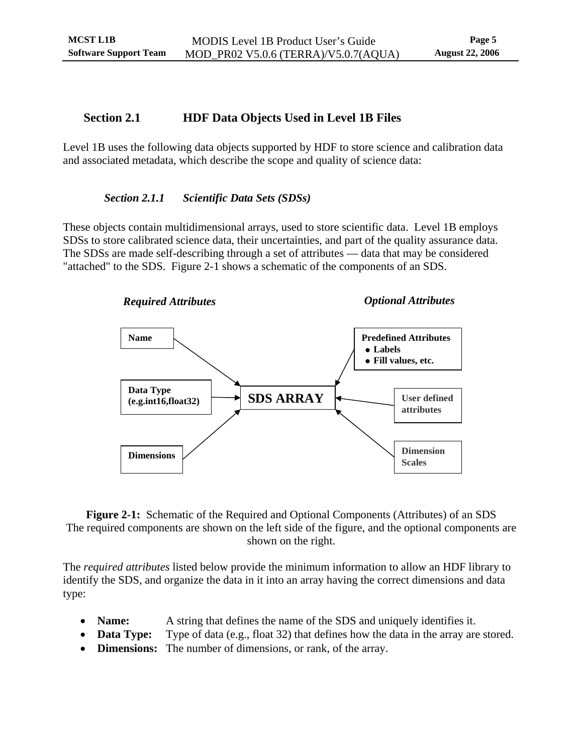## <span id="page-9-0"></span>**Section 2.1 HDF Data Objects Used in Level 1B Files**

Level 1B uses the following data objects supported by HDF to store science and calibration data and associated metadata, which describe the scope and quality of science data:

### *Section 2.1.1 Scientific Data Sets (SDSs)*

These objects contain multidimensional arrays, used to store scientific data. Level 1B employs SDSs to store calibrated science data, their uncertainties, and part of the quality assurance data. The SDSs are made self-describing through a set of attributes — data that may be considered "attached" to the SDS. [Figure 2-1](#page-9-1) shows a schematic of the components of an SDS.



<span id="page-9-1"></span>**Figure 2-1:** Schematic of the Required and Optional Components (Attributes) of an SDS The required components are shown on the left side of the figure, and the optional components are shown on the right.

The *required attributes* listed below provide the minimum information to allow an HDF library to identify the SDS, and organize the data in it into an array having the correct dimensions and data type:

- **Name:** A string that defines the name of the SDS and uniquely identifies it.
- **Data Type:** Type of data (e.g., float 32) that defines how the data in the array are stored.
- **Dimensions:** The number of dimensions, or rank, of the array.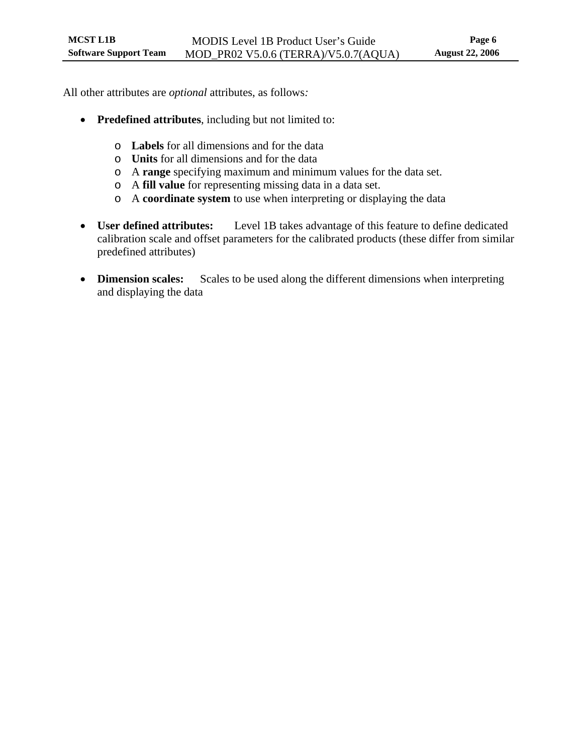All other attributes are *optional* attributes, as follows*:* 

- **Predefined attributes**, including but not limited to:
	- o **Labels** for all dimensions and for the data
	- o **Units** for all dimensions and for the data
	- o A **range** specifying maximum and minimum values for the data set.
	- o A **fill value** for representing missing data in a data set.
	- o A **coordinate system** to use when interpreting or displaying the data
- **User defined attributes:** Level 1B takes advantage of this feature to define dedicated calibration scale and offset parameters for the calibrated products (these differ from similar predefined attributes)
- **Dimension scales:** Scales to be used along the different dimensions when interpreting and displaying the data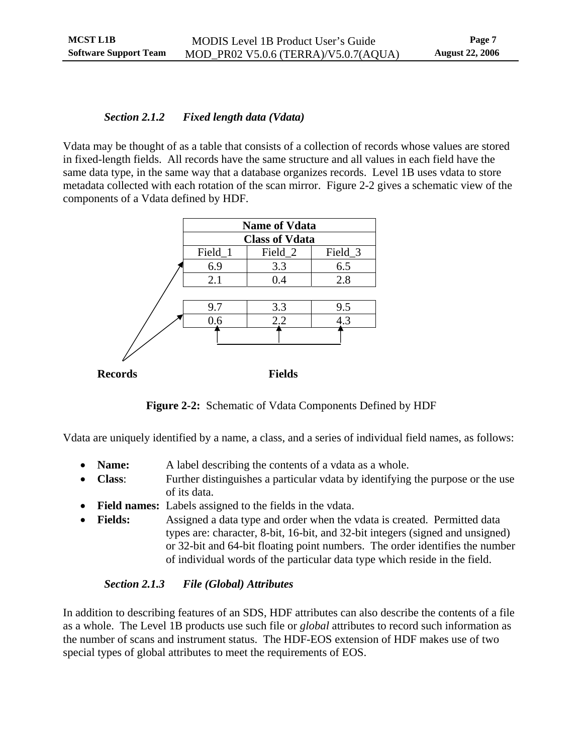## <span id="page-11-0"></span>*Section 2.1.2 Fixed length data (Vdata)*

Vdata may be thought of as a table that consists of a collection of records whose values are stored in fixed-length fields. All records have the same structure and all values in each field have the same data type, in the same way that a database organizes records. Level 1B uses vdata to store metadata collected with each rotation of the scan mirror. [Figure 2-2](#page-11-1) gives a schematic view of the components of a Vdata defined by HDF.

|                | <b>Name of Vdata</b>  |               |         |  |  |
|----------------|-----------------------|---------------|---------|--|--|
|                | <b>Class of Vdata</b> |               |         |  |  |
|                | Field_1               | Field_2       | Field_3 |  |  |
|                | 6.9                   | 3.3           | 6.5     |  |  |
|                | 2.1                   | 0.4           | 2.8     |  |  |
|                |                       |               |         |  |  |
|                | 9.7                   | 3.3           | 9.5     |  |  |
|                | 0.6                   | 2.2           | 4.3     |  |  |
|                |                       |               |         |  |  |
|                |                       |               |         |  |  |
|                |                       |               |         |  |  |
| <b>Records</b> |                       | <b>Fields</b> |         |  |  |

**Figure 2-2:** Schematic of Vdata Components Defined by HDF

<span id="page-11-1"></span>Vdata are uniquely identified by a name, a class, and a series of individual field names, as follows:

- **Name:** A label describing the contents of a vdata as a whole.
- **Class**: Further distinguishes a particular vdata by identifying the purpose or the use of its data.
- **Field names:** Labels assigned to the fields in the vdata.
- **Fields:** Assigned a data type and order when the vdata is created. Permitted data types are: character, 8-bit, 16-bit, and 32-bit integers (signed and unsigned) or 32-bit and 64-bit floating point numbers. The order identifies the number of individual words of the particular data type which reside in the field.

## *Section 2.1.3 File (Global) Attributes*

In addition to describing features of an SDS, HDF attributes can also describe the contents of a file as a whole. The Level 1B products use such file or *global* attributes to record such information as the number of scans and instrument status. The HDF-EOS extension of HDF makes use of two special types of global attributes to meet the requirements of EOS.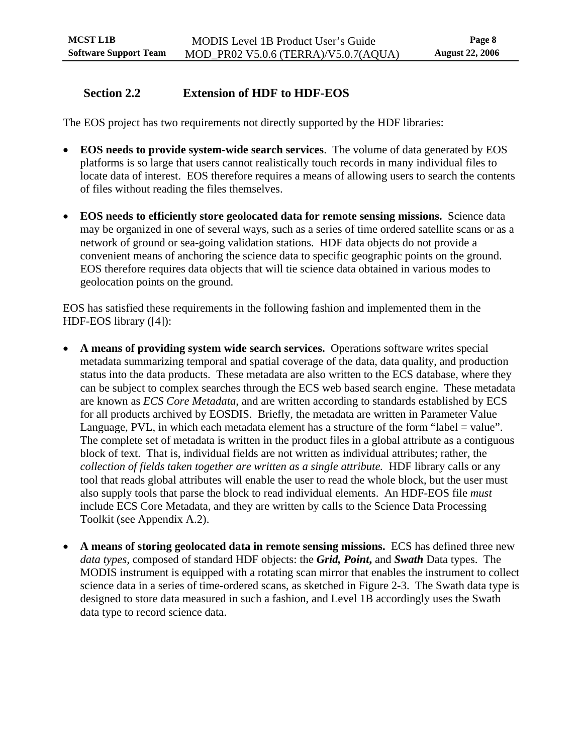## <span id="page-12-0"></span>**Section 2.2 Extension of HDF to HDF-EOS**

The EOS project has two requirements not directly supported by the HDF libraries:

- **EOS needs to provide system-wide search services**. The volume of data generated by EOS platforms is so large that users cannot realistically touch records in many individual files to locate data of interest. EOS therefore requires a means of allowing users to search the contents of files without reading the files themselves.
- **EOS needs to efficiently store geolocated data for remote sensing missions.** Science data may be organized in one of several ways, such as a series of time ordered satellite scans or as a network of ground or sea-going validation stations. HDF data objects do not provide a convenient means of anchoring the science data to specific geographic points on the ground. EOS therefore requires data objects that will tie science data obtained in various modes to geolocation points on the ground.

EOS has satisfied these requirements in the following fashion and implemented them in the HDF-EOS library ([\[4\]\)](#page-49-9):

- **A means of providing system wide search services.** Operations software writes special metadata summarizing temporal and spatial coverage of the data, data quality, and production status into the data products. These metadata are also written to the ECS database, where they can be subject to complex searches through the ECS web based search engine. These metadata are known as *ECS Core Metadata*, and are written according to standards established by ECS for all products archived by EOSDIS. Briefly, the metadata are written in Parameter Value Language, PVL, in which each metadata element has a structure of the form "label = value". The complete set of metadata is written in the product files in a global attribute as a contiguous block of text. That is, individual fields are not written as individual attributes; rather, the *collection of fields taken together are written as a single attribute.* HDF library calls or any tool that reads global attributes will enable the user to read the whole block, but the user must also supply tools that parse the block to read individual elements. An HDF-EOS file *must* include ECS Core Metadata, and they are written by calls to the Science Data Processing Toolkit (see [Appendix A.2\)](#page-51-2).
- **A means of storing geolocated data in remote sensing missions.** ECS has defined three new *data types,* composed of standard HDF objects: the *Grid, Point***,** and *Swath* Data types. The MODIS instrument is equipped with a rotating scan mirror that enables the instrument to collect science data in a series of time-ordered scans, as sketched in [Figure 2-3](#page-13-1). The Swath data type is designed to store data measured in such a fashion, and Level 1B accordingly uses the Swath data type to record science data.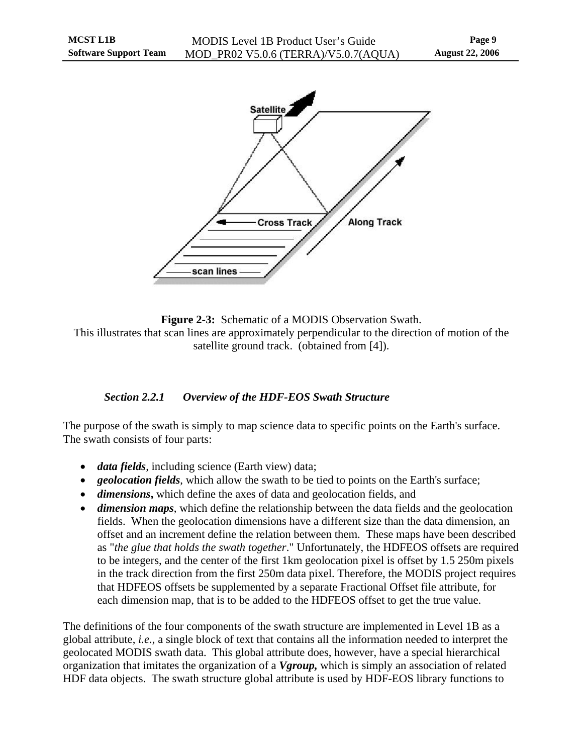<span id="page-13-0"></span>

<span id="page-13-1"></span>**Figure 2-3:** Schematic of a MODIS Observation Swath. This illustrates that scan lines are approximately perpendicular to the direction of motion of the satellite ground track. (obtained from [\[4\]\)](#page-49-9).

## *Section 2.2.1 Overview of the HDF-EOS Swath Structure*

<span id="page-13-2"></span>The purpose of the swath is simply to map science data to specific points on the Earth's surface. The swath consists of four parts:

- *data fields*, including science (Earth view) data;
- *geolocation fields*, which allow the swath to be tied to points on the Earth's surface;
- *dimensions***,** which define the axes of data and geolocation fields, and
- *dimension maps*, which define the relationship between the data fields and the geolocation fields. When the geolocation dimensions have a different size than the data dimension, an offset and an increment define the relation between them. These maps have been described as "*the glue that holds the swath together*." Unfortunately, the HDFEOS offsets are required to be integers, and the center of the first 1km geolocation pixel is offset by 1.5 250m pixels in the track direction from the first 250m data pixel. Therefore, the MODIS project requires that HDFEOS offsets be supplemented by a separate Fractional Offset file attribute, for each dimension map, that is to be added to the HDFEOS offset to get the true value.

The definitions of the four components of the swath structure are implemented in Level 1B as a global attribute, *i.e.,* a single block of text that contains all the information needed to interpret the geolocated MODIS swath data. This global attribute does, however, have a special hierarchical organization that imitates the organization of a *Vgroup,* which is simply an association of related HDF data objects. The swath structure global attribute is used by HDF-EOS library functions to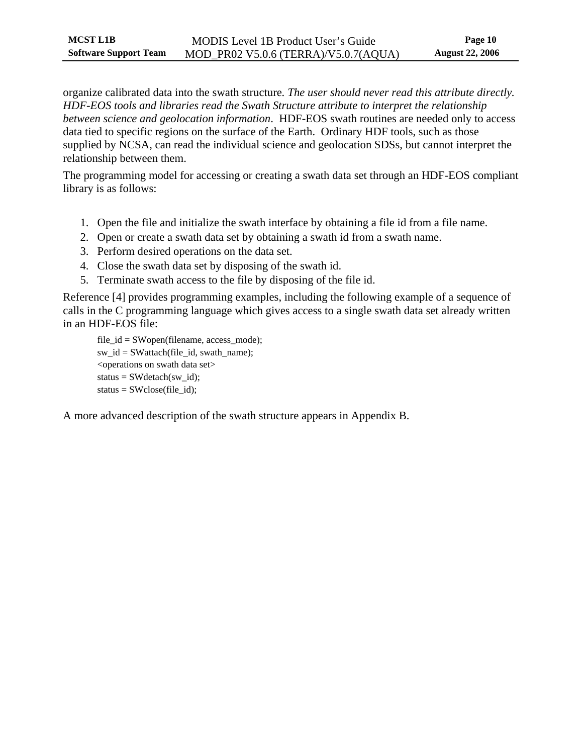organize calibrated data into the swath structure*. The user should never read this attribute directly . HDF-EOS tools and libraries read the Swath Structure attribute to interpret the relationship between science and geolocation information*. HDF-EOS swath routines are needed only to a ccess data tied to specific regions on the surface of the Earth. Ordinary HDF tools, such as those supplied by NCSA, can read the individual science and geolocation SDSs, but cannot interpr et the relationship between them.

The programming model for accessing or creating a swath data set through an HDF-EOS compliant library is as follows:

- 1. Open the file and initialize the swath interface by obtaining a file id from a file name.
- 2. Open or create a swath data set by obtaining a swath id from a swath name.
- 3. Perform desired operations on the data set.
- 4. Close the swath data set by disposing of the swath id.
- 5. Terminate swath access to the file by disposing of the file id.

Reference [4] provides programming examples, including the following example of a sequence of calls in the C programming language which gives access to a single swath data set already written in an HDF-EOS file:

 $file_id = SWopen(filename, access_model);$ sw\_id = SWattach(file\_id, swath\_name); <operations on swath data set>  $status = SWdetach(sw_id);$ status =  $SWclose$ (file id);

A more advanced description of the swath structure appears in Appendix B.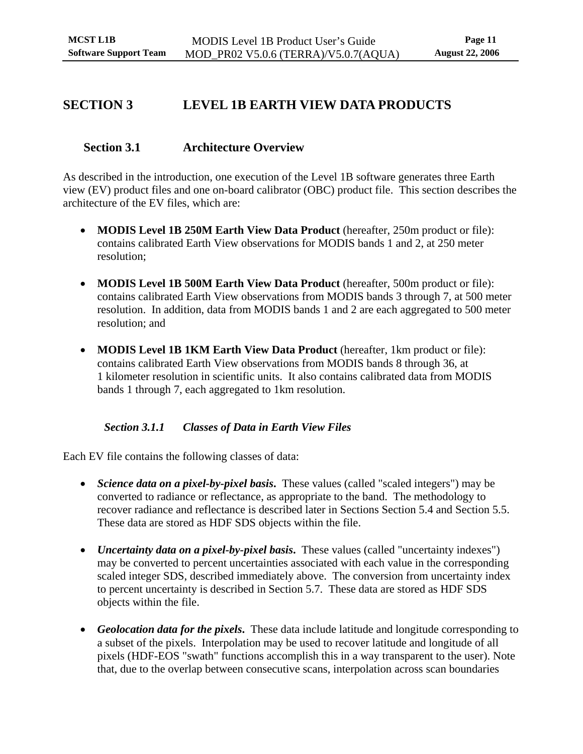## <span id="page-15-0"></span>**SECTION 3 LEVEL 1B EARTH VIEW DATA PRODUCTS**

## **Section 3.1 Architecture Overview**

As described in the introduction, one execution of the Level 1B software generates three Earth view (EV) product files and one on-board calibrator (OBC) product file. This section describes the architecture of the EV files, which are:

- **MODIS Level 1B 250M Earth View Data Product** (hereafter, 250m product or file): contains calibrated Earth View observations for MODIS bands 1 and 2, at 250 meter resolution;
- **MODIS Level 1B 500M Earth View Data Product** (hereafter, 500m product or file): contains calibrated Earth View observations from MODIS bands 3 through 7, at 500 meter resolution. In addition, data from MODIS bands 1 and 2 are each aggregated to 500 meter resolution; and
- **MODIS Level 1B 1KM Earth View Data Product** (hereafter, 1km product or file): contains calibrated Earth View observations from MODIS bands 8 through 36, at 1 kilometer resolution in scientific units. It also contains calibrated data from MODIS bands 1 through 7, each aggregated to 1km resolution.

### *Section 3.1.1 Classes of Data in Earth View Files*

Each EV file contains the following classes of data:

- *Science data on a pixel-by-pixel basis*. These values (called "scaled integers") may be converted to radiance or reflectance, as appropriate to the band. The methodology to recover radiance and reflectance is described later in Sections [Section 5.4](#page-35-1) and [Section 5.5](#page-39-1). These data are stored as HDF SDS objects within the file.
- *Uncertainty data on a pixel-by-pixel basis*. These values (called "uncertainty indexes") may be converted to percent uncertainties associated with each value in the corresponding scaled integer SDS, described immediately above. The conversion from uncertainty index to percent uncertainty is described in [Section 5.7](#page-42-1). These data are stored as HDF SDS objects within the file.
- *Geolocation data for the pixels***.** These data include latitude and longitude corresponding to a subset of the pixels. Interpolation may be used to recover latitude and longitude of all pixels (HDF-EOS "swath" functions accomplish this in a way transparent to the user). Note that, due to the overlap between consecutive scans, interpolation across scan boundaries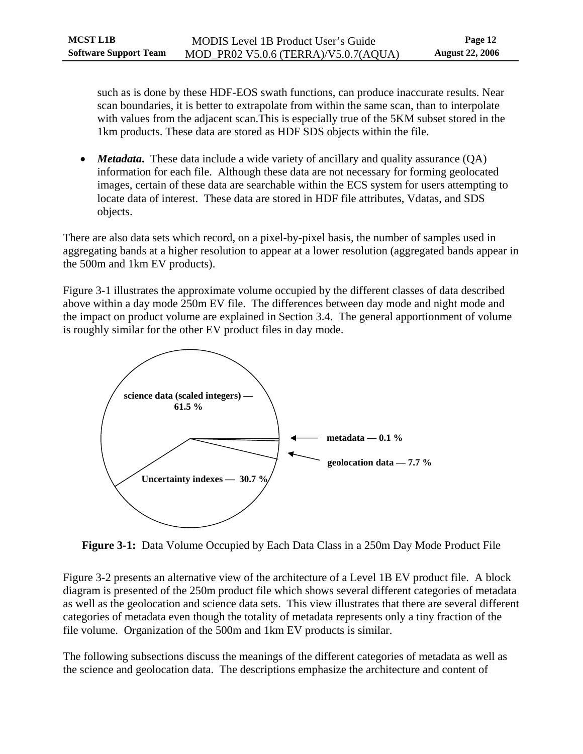<span id="page-16-0"></span>such as is done by these HDF-EOS swath functions, can produce inaccurate results. Near scan boundaries, it is better to extrapolate from within the same scan, than to interpolate with values from the adjacent scan.This is especially true of the 5KM subset stored in the 1km products. These data are stored as HDF SDS objects within the file.

• *Metadata***.** These data include a wide variety of ancillary and quality assurance (QA) information for each file. Although these data are not necessary for forming geolocated images, certain of these data are searchable within the ECS system for users attempting to locate data of interest. These data are stored in HDF file attributes, Vdatas, and SDS objects.

There are also data sets which record, on a pixel-by-pixel basis, the number of samples used in aggregating bands at a higher resolution to appear at a lower resolution (aggregated bands appear in the 500m and 1km EV products).

[Figure 3-1](#page-16-1) illustrates the approximate volume occupied by the different classes of data described above within a day mode 250m EV file. The differences between day mode and night mode and the impact on product volume are explained in [Section 3.4.](#page-26-1) The general apportionment of volume is roughly similar for the other EV product files in day mode.



**Figure 3-1:** Data Volume Occupied by Each Data Class in a 250m Day Mode Product File

<span id="page-16-1"></span>[Figure 3-2](#page-18-1) presents an alternative view of the architecture of a Level 1B EV product file. A block diagram is presented of the 250m product file which shows several different categories of metadata as well as the geolocation and science data sets. This view illustrates that there are several different categories of metadata even though the totality of metadata represents only a tiny fraction of the file volume. Organization of the 500m and 1km EV products is similar.

The following subsections discuss the meanings of the different categories of metadata as well as the science and geolocation data. The descriptions emphasize the architecture and content of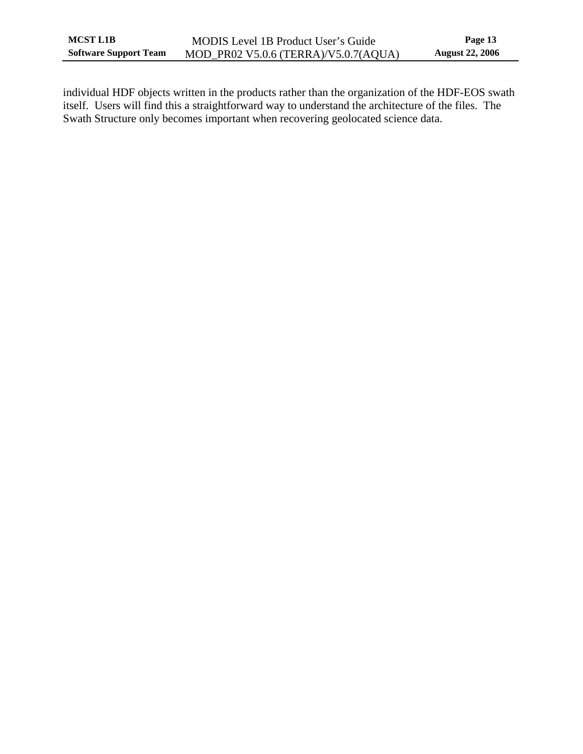individual HDF objects written in the products rather than the organization of the HDF-EOS swath itself. Users will find this a straightforward way to understand the architecture of the files. The Swath Structure only becomes important when recovering geolocated science data.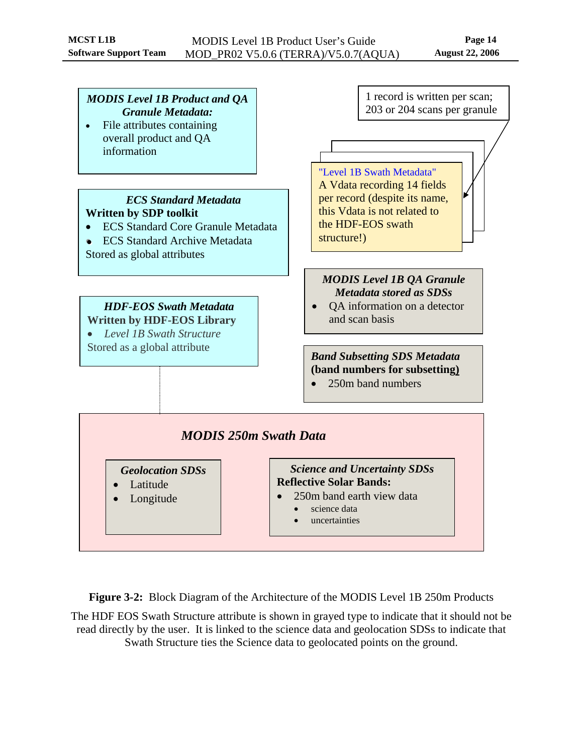<span id="page-18-0"></span>

**Figure 3-2:** Block Diagram of the Architecture of the MODIS Level 1B 250m Products

<span id="page-18-1"></span>The HDF EOS Swath Structure attribute is shown in grayed type to indicate that it should not be read directly by the user. It is linked to the science data and geolocation SDSs to indicate that Swath Structure ties the Science data to geolocated points on the ground.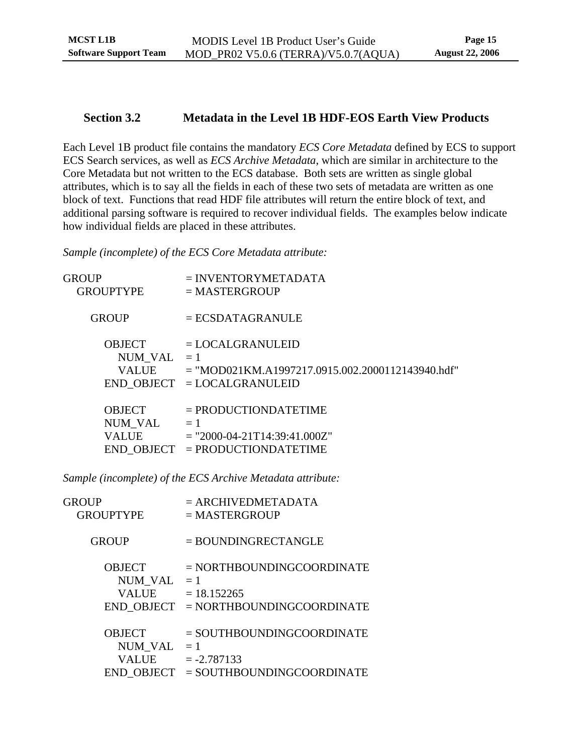### <span id="page-19-0"></span>**Section 3.2 Metadata in the Level 1B HDF-EOS Earth View Products**

Each Level 1B product file contains the mandatory *ECS Core Metadata* defined by ECS to support ECS Search services, as well as *ECS Archive Metadata*, which are similar in architecture to the Core Metadata but not written to the ECS database. Both sets are written as single global attributes, which is to say all the fields in each of these two sets of metadata are written as one block of text. Functions that read HDF file attributes will return the entire block of text, and additional parsing software is required to recover individual fields. The examples below indicate how individual fields are placed in these attributes.

*Sample (incomplete) of the ECS Core Metadata attribute:* 

| GROUP                                    | $=$ INVENTORYMETADATA                                                                                 |
|------------------------------------------|-------------------------------------------------------------------------------------------------------|
| <b>GROUPTYPE</b>                         | $=$ MASTERGROUP                                                                                       |
| <b>GROUP</b>                             | $= ECSDATAGRANULE$                                                                                    |
| <b>OBJECT</b>                            | $=$ LOCALGRANULEID                                                                                    |
| NUM VAL $=1$                             | $=$ "MOD021KM.A1997217.0915.002.2000112143940.hdf"                                                    |
| <b>VALUE</b>                             | $END$ OBJECT = LOCALGRANULEID                                                                         |
| <b>OBJECT</b><br>NUM VAL<br><b>VALUE</b> | $=$ PRODUCTIONDATETIME<br>$=1$<br>$=$ "2000-04-21T14:39:41.000Z"<br>$END$ OBJECT = PRODUCTIONDATETIME |

*Sample (incomplete) of the ECS Archive Metadata attribute:* 

| GROUP                                    | $=$ ARCHIVEDMETADATA                                                                         |
|------------------------------------------|----------------------------------------------------------------------------------------------|
| <b>GROUPTYPE</b>                         | $=$ MASTERGROUP                                                                              |
| <b>GROUP</b>                             | $=$ BOUNDINGRECTANGLE                                                                        |
| <b>OBJECT</b>                            | $=$ NORTHBOUNDINGCOORDINATE                                                                  |
| NUM VAL $=1$                             | $= 18.152265$                                                                                |
| <b>VALUE</b>                             | END OBJECT = NORTHBOUNDINGCOORDINATE                                                         |
| <b>OBJECT</b><br>NUM VAL<br><b>VALUE</b> | $=$ SOUTHBOUNDINGCOORDINATE<br>$=1$<br>$= -2.787133$<br>END OBJECT = SOUTHBOUNDINGCOORDINATE |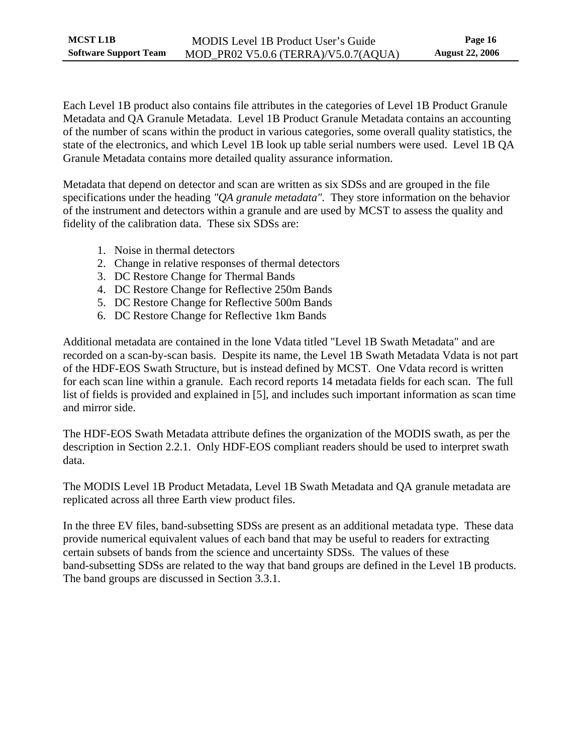Each Level 1B product also contains file attributes in the categories of Level 1B Product Granule Metadata and QA Granule Metadata. Level 1B Product Granule Metadata contains an accounting of the number of scans within the product in various categories, some overall quality statistics, the state of the electronics, and which Level 1B look up table serial numbers were used. Level 1B QA Granule Metadata contains more detailed quality assurance information.

Metadata that depend on detector and scan are written as six SDSs and are grouped in the file specifications under the heading *"QA granule metadata".* They store information on the behavior of the instrument and detectors within a granule and are used by MCST to assess the quality and fidelity of the calibration data. These six SDSs are:

- 1. Noise in thermal detectors
- 2. Change in relative responses of thermal detectors
- 3. DC Restore Change for Thermal Bands
- 4. DC Restore Change for Reflective 250m Bands
- 5. DC Restore Change for Reflective 500m Bands
- 6. DC Restore Change for Reflective 1km Bands

Additional metadata are contained in the lone Vdata titled "Level 1B Swath Metadata" and are recorded on a scan-by-scan basis. Despite its name, the Level 1B Swath Metadata Vdata is not part of the HDF-EOS Swath Structure, but is instead defined by MCST. One Vdata record is written for each scan line within a granule. Each record reports 14 metadata fields for each scan. The full list of fields is provided and explained in [\[5\]](#page-49-7), and includes such important information as scan time and mirror side.

The HDF-EOS Swath Metadata attribute defines the organization of the MODIS swath, as per the description in [Section 2.2.1.](#page-13-2) Only HDF-EOS compliant readers should be used to interpret swath data.

The MODIS Level 1B Product Metadata, Level 1B Swath Metadata and QA granule metadata are replicated across all three Earth view product files.

In the three EV files, band-subsetting SDSs are present as an additional metadata type. These data provide numerical equivalent values of each band that may be useful to readers for extracting certain subsets of bands from the science and uncertainty SDSs. The values of these band-subsetting SDSs are related to the way that band groups are defined in the Level 1B products. The band groups are discussed in [Section 3.3.1.](#page-21-1)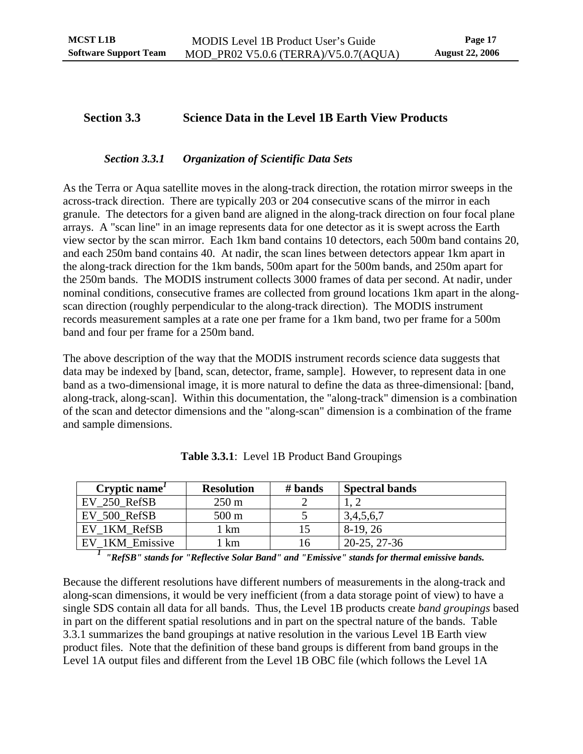## <span id="page-21-0"></span>**Section 3.3 Science Data in the Level 1B Earth View Products**

#### *Section 3.3.1 Organization of Scientific Data Sets*

<span id="page-21-1"></span>As the Terra or Aqua satellite moves in the along-track direction, the rotation mirror sweeps in the across-track direction. There are typically 203 or 204 consecutive scans of the mirror in each granule. The detectors for a given band are aligned in the along-track direction on four focal plane arrays. A "scan line" in an image represents data for one detector as it is swept across the Earth view sector by the scan mirror. Each 1km band contains 10 detectors, each 500m band contains 20, and each 250m band contains 40. At nadir, the scan lines between detectors appear 1km apart in the along-track direction for the 1km bands, 500m apart for the 500m bands, and 250m apart for the 250m bands. The MODIS instrument collects 3000 frames of data per second. At nadir, under nominal conditions, consecutive frames are collected from ground locations 1km apart in the alongscan direction (roughly perpendicular to the along-track direction). The MODIS instrument records measurement samples at a rate one per frame for a 1km band, two per frame for a 500m band and four per frame for a 250m band.

The above description of the way that the MODIS instrument records science data suggests that data may be indexed by [band, scan, detector, frame, sample]. However, to represent data in one band as a two-dimensional image, it is more natural to define the data as three-dimensional: [band, along-track, along-scan]. Within this documentation, the "along-track" dimension is a combination of the scan and detector dimensions and the "along-scan" dimension is a combination of the frame and sample dimensions.

<span id="page-21-2"></span>

| Cryptic name    | <b>Resolution</b> | # bands | <b>Spectral bands</b> |
|-----------------|-------------------|---------|-----------------------|
| EV 250 RefSB    | $250 \text{ m}$   |         |                       |
| EV 500 RefSB    | $500 \text{ m}$   |         | 3,4,5,6,7             |
| EV 1KM RefSB    | km                | 15      | 8-19.26               |
| EV 1KM Emissive | km                | 16      | 20-25, 27-36          |

**Table 3.3.1**: Level 1B Product Band Groupings

<sup>1</sup> "RefSB" stands for "Reflective Solar Band" and "Emissive" stands for thermal emissive bands.

Because the different resolutions have different numbers of measurements in the along-track and along-scan dimensions, it would be very inefficient (from a data storage point of view) to have a single SDS contain all data for all bands. Thus, the Level 1B products create *band groupings* based in part on the different spatial resolutions and in part on the spectral nature of the bands. [Table](#page-21-2)  [3.3.1](#page-21-2) summarizes the band groupings at native resolution in the various Level 1B Earth view product files. Note that the definition of these band groups is different from band groups in the Level 1A output files and different from the Level 1B OBC file (which follows the Level 1A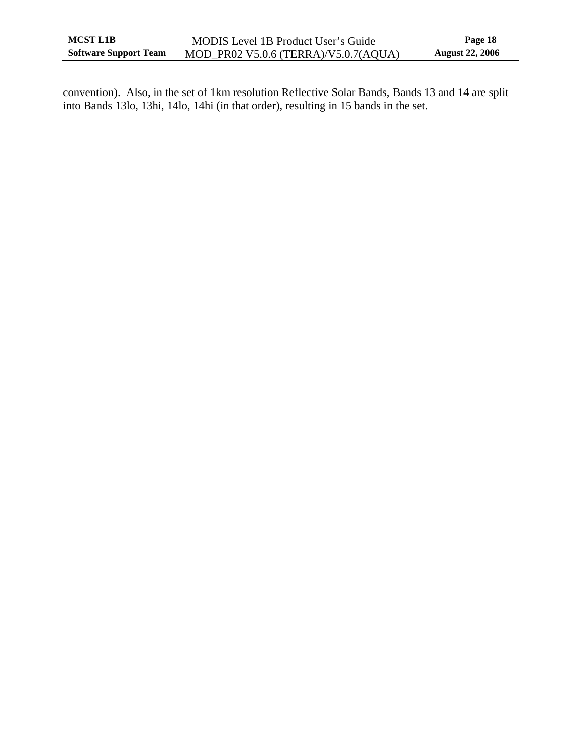convention). Also, in the set of 1km resolution Reflective Solar Bands, Bands 13 and 14 are split into Bands 13lo, 13hi, 14lo, 14hi (in that order), resulting in 15 bands in the set.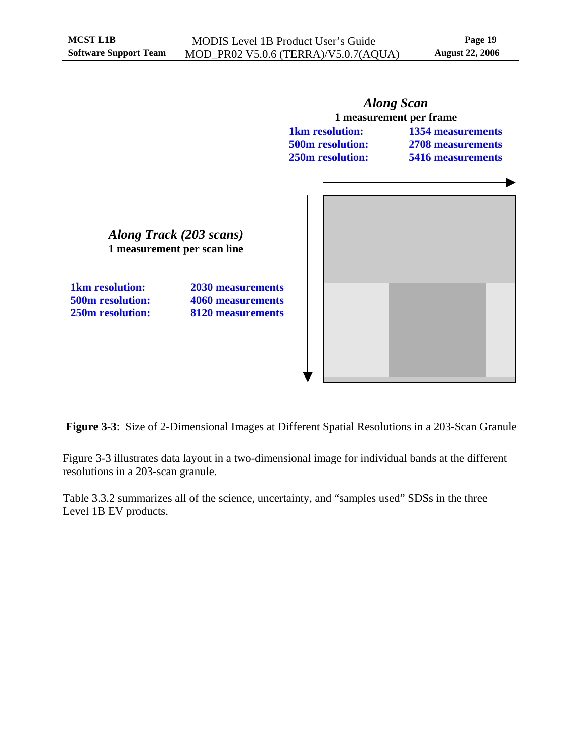<span id="page-23-0"></span>

<span id="page-23-1"></span>**Figure 3-3**: Size of 2-Dimensional Images at Different Spatial Resolutions in a 203-Scan Granule

[Figure 3-3](#page-23-1) illustrates data layout in a two-dimensional image for individual bands at the different resolutions in a 203-scan granule.

[Table 3.3.2](#page-24-1) summarizes all of the science, uncertainty, and "samples used" SDSs in the three Level 1B EV products.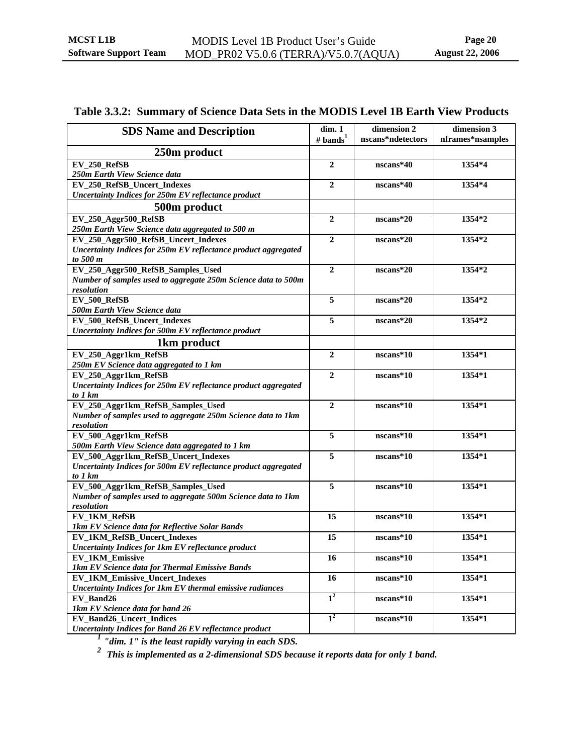## <span id="page-24-0"></span>**Table 3.3.2: Summary of Science Data Sets in the MODIS Level 1B Earth View Products**

<span id="page-24-1"></span>

| <b>SDS Name and Description</b>                                               | dim.1<br># bands $^{1}$ | dimension 2<br>nscans*ndetectors | dimension 3<br>nframes*nsamples |
|-------------------------------------------------------------------------------|-------------------------|----------------------------------|---------------------------------|
| 250m product                                                                  |                         |                                  |                                 |
| EV_250_RefSB                                                                  | $\mathbf{2}$            | nscans*40                        | 1354*4                          |
| 250m Earth View Science data                                                  |                         |                                  |                                 |
| EV_250_RefSB_Uncert_Indexes                                                   | $\overline{2}$          | nscans*40                        | 1354*4                          |
| <b>Uncertainty Indices for 250m EV reflectance product</b>                    |                         |                                  |                                 |
| 500m product                                                                  |                         |                                  |                                 |
|                                                                               |                         |                                  |                                 |
| EV_250_Aggr500_RefSB<br>250m Earth View Science data aggregated to 500 m      | $\boldsymbol{2}$        | nscans*20                        | 1354*2                          |
| EV_250_Aggr500_RefSB_Uncert_Indexes                                           | $\mathbf{2}$            | nscans*20                        | 1354*2                          |
| Uncertainty Indices for 250m EV reflectance product aggregated                |                         |                                  |                                 |
| to 500 m                                                                      |                         |                                  |                                 |
| EV_250_Aggr500_RefSB_Samples_Used                                             | $\overline{2}$          | $nscans*20$                      | 1354*2                          |
| Number of samples used to aggregate 250m Science data to 500m                 |                         |                                  |                                 |
| resolution                                                                    |                         |                                  |                                 |
| EV_500_RefSB                                                                  | 5                       | $nscans*20$                      | 1354*2                          |
| 500m Earth View Science data                                                  |                         |                                  |                                 |
| EV_500_RefSB_Uncert_Indexes                                                   | 5                       | nscans*20                        | 1354*2                          |
| <b>Uncertainty Indices for 500m EV reflectance product</b>                    |                         |                                  |                                 |
| 1km product                                                                   |                         |                                  |                                 |
| EV_250_Aggr1km_RefSB                                                          | $\boldsymbol{2}$        | nscans*10                        | 1354*1                          |
| 250m EV Science data aggregated to 1 km                                       |                         |                                  |                                 |
| EV_250_Aggr1km_RefSB                                                          | $\mathbf{2}$            | $nscans*10$                      | 1354*1                          |
| Uncertainty Indices for 250m EV reflectance product aggregated                |                         |                                  |                                 |
| to 1 km                                                                       |                         |                                  |                                 |
| EV_250_Aggr1km_RefSB_Samples_Used                                             | $\overline{2}$          | nscans*10                        | 1354*1                          |
| Number of samples used to aggregate 250m Science data to 1km                  |                         |                                  |                                 |
| resolution                                                                    |                         |                                  |                                 |
| EV_500_Aggr1km_RefSB                                                          | 5                       | nscans*10                        | 1354*1                          |
| 500m Earth View Science data aggregated to 1 km                               |                         |                                  |                                 |
| EV_500_Aggr1km_RefSB_Uncert_Indexes                                           | 5                       | nscans*10                        | 1354*1                          |
| Uncertainty Indices for 500m EV reflectance product aggregated                |                         |                                  |                                 |
| to 1 km                                                                       |                         |                                  |                                 |
| EV_500_Aggr1km_RefSB_Samples_Used                                             | $\overline{5}$          | nscans*10                        | 1354*1                          |
| Number of samples used to aggregate 500m Science data to 1km                  |                         |                                  |                                 |
| resolution                                                                    |                         |                                  |                                 |
| EV_1KM_RefSB                                                                  | 15                      | nscans*10                        | 1354*1                          |
| 1km EV Science data for Reflective Solar Bands<br>EV_1KM_RefSB_Uncert_Indexes | 15                      | nscans*10                        |                                 |
|                                                                               |                         |                                  | 1354*1                          |
| <b>Uncertainty Indices for 1km EV reflectance product</b>                     | 16                      | nscans*10                        | 1354*1                          |
| EV_1KM_Emissive<br>1km EV Science data for Thermal Emissive Bands             |                         |                                  |                                 |
| EV_1KM_Emissive_Uncert_Indexes                                                | 16                      | nscans*10                        | 1354*1                          |
| Uncertainty Indices for 1km EV thermal emissive radiances                     |                         |                                  |                                 |
| EV_Band26                                                                     | 1 <sup>2</sup>          | nscans*10                        | 1354*1                          |
| 1km EV Science data for band 26                                               |                         |                                  |                                 |
| EV_Band26_Uncert_Indices                                                      | $1^2$                   | nscans*10                        | 1354*1                          |
| <b>Uncertainty Indices for Band 26 EV reflectance product</b>                 |                         |                                  |                                 |

*<sup>1</sup> "dim. 1" is the least rapidly varying in each SDS.* 

*2 This is implemented as a 2-dimensional SDS because it reports data for only 1 band.*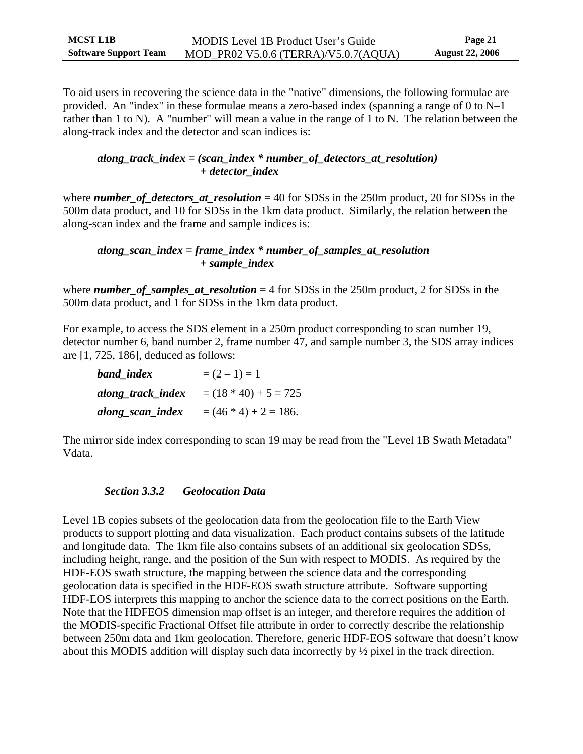<span id="page-25-0"></span>To aid users in recovering the science data in the "native" dimensions, the following formulae are provided. An "index" in these formulae means a zero-based index (spanning a range of 0 to N–1 rather than 1 to N). A "number" will mean a value in the range of 1 to N. The relation between the along-track index and the detector and scan indices is:

### *along\_track\_index = (scan\_index \* number\_of\_detectors\_at\_resolution) + detector\_index*

where *number of detectors at resolution* = 40 for SDSs in the 250m product, 20 for SDSs in the 500m data product, and 10 for SDSs in the 1km data product. Similarly, the relation between the along-scan index and the frame and sample indices is:

### *along\_scan\_index = frame\_index \* number\_of\_samples\_at\_resolution + sample\_index*

where *number\_of\_samples\_at\_resolution* = 4 for SDSs in the 250m product, 2 for SDSs in the 500m data product, and 1 for SDSs in the 1km data product.

For example, to access the SDS element in a 250m product corresponding to scan number 19, detector number 6, band number 2, frame number 47, and sample number 3, the SDS array indices are [1, 725, 186], deduced as follows:

| band_index        | $=(2-1)=1$              |
|-------------------|-------------------------|
| along_track_index | $= (18 * 40) + 5 = 725$ |
| along_scan_index  | $= (46 * 4) + 2 = 186.$ |

The mirror side index corresponding to scan 19 may be read from the "Level 1B Swath Metadata" Vdata.

## *Section 3.3.2 Geolocation Data*

Level 1B copies subsets of the geolocation data from the geolocation file to the Earth View products to support plotting and data visualization. Each product contains subsets of the latitude and longitude data. The 1km file also contains subsets of an additional six geolocation SDSs, including height, range, and the position of the Sun with respect to MODIS. As required by the HDF-EOS swath structure, the mapping between the science data and the corresponding geolocation data is specified in the HDF-EOS swath structure attribute. Software supporting HDF-EOS interprets this mapping to anchor the science data to the correct positions on the Earth. Note that the HDFEOS dimension map offset is an integer, and therefore requires the addition of the MODIS-specific Fractional Offset file attribute in order to correctly describe the relationship between 250m data and 1km geolocation. Therefore, generic HDF-EOS software that doesn't know about this MODIS addition will display such data incorrectly by ½ pixel in the track direction.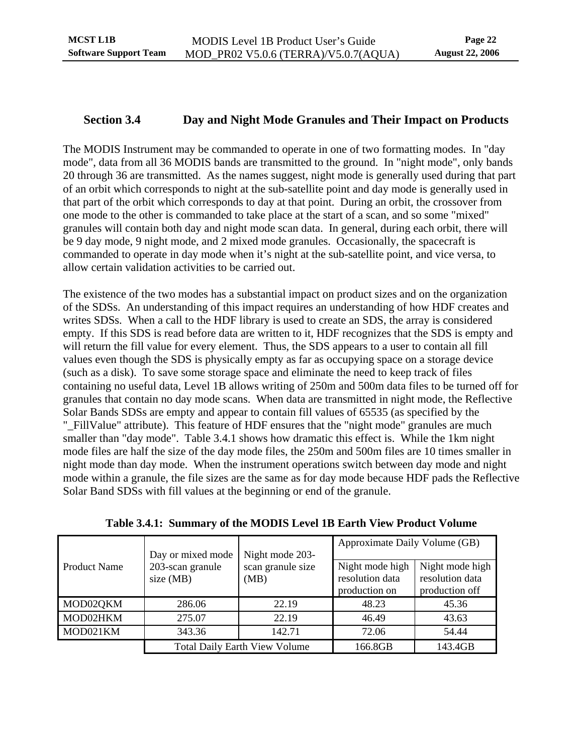## <span id="page-26-0"></span>**Section 3.4 Day and Night Mode Granules and Their Impact on Products**

<span id="page-26-1"></span>The MODIS Instrument may be commanded to operate in one of two formatting modes. In "day mode", data from all 36 MODIS bands are transmitted to the ground. In "night mode", only bands 20 through 36 are transmitted. As the names suggest, night mode is generally used during that part of an orbit which corresponds to night at the sub-satellite point and day mode is generally used in that part of the orbit which corresponds to day at that point. During an orbit, the crossover from one mode to the other is commanded to take place at the start of a scan, and so some "mixed" granules will contain both day and night mode scan data. In general, during each orbit, there will be 9 day mode, 9 night mode, and 2 mixed mode granules. Occasionally, the spacecraft is commanded to operate in day mode when it's night at the sub-satellite point, and vice versa, to allow certain validation activities to be carried out.

The existence of the two modes has a substantial impact on product sizes and on the organization of the SDSs. An understanding of this impact requires an understanding of how HDF creates and writes SDSs. When a call to the HDF library is used to create an SDS, the array is considered empty. If this SDS is read before data are written to it, HDF recognizes that the SDS is empty and will return the fill value for every element. Thus, the SDS appears to a user to contain all fill values even though the SDS is physically empty as far as occupying space on a storage device (such as a disk). To save some storage space and eliminate the need to keep track of files containing no useful data, Level 1B allows writing of 250m and 500m data files to be turned off for granules that contain no day mode scans. When data are transmitted in night mode, the Reflective Solar Bands SDSs are empty and appear to contain fill values of 65535 (as specified by the "\_FillValue" attribute). This feature of HDF ensures that the "night mode" granules are much smaller than "day mode". [Table 3.4.1](#page-26-2) shows how dramatic this effect is. While the 1km night mode files are half the size of the day mode files, the 250m and 500m files are 10 times smaller in night mode than day mode. When the instrument operations switch between day mode and night mode within a granule, the file sizes are the same as for day mode because HDF pads the Reflective Solar Band SDSs with fill values at the beginning or end of the granule.

<span id="page-26-2"></span>

|                     | Day or mixed mode             | Night mode 203-                      | Approximate Daily Volume (GB)                       |                                                      |  |
|---------------------|-------------------------------|--------------------------------------|-----------------------------------------------------|------------------------------------------------------|--|
| <b>Product Name</b> | 203-scan granule<br>size (MB) | scan granule size<br>(MB)            | Night mode high<br>resolution data<br>production on | Night mode high<br>resolution data<br>production off |  |
| MOD02QKM            | 286.06                        | 22.19                                | 48.23                                               | 45.36                                                |  |
| MOD02HKM            | 275.07                        | 22.19                                | 46.49                                               | 43.63                                                |  |
| MOD021KM            | 343.36                        | 142.71                               | 72.06                                               | 54.44                                                |  |
|                     |                               | <b>Total Daily Earth View Volume</b> | 166.8GB                                             | 143.4GB                                              |  |

**Table 3.4.1: Summary of the MODIS Level 1B Earth View Product Volume**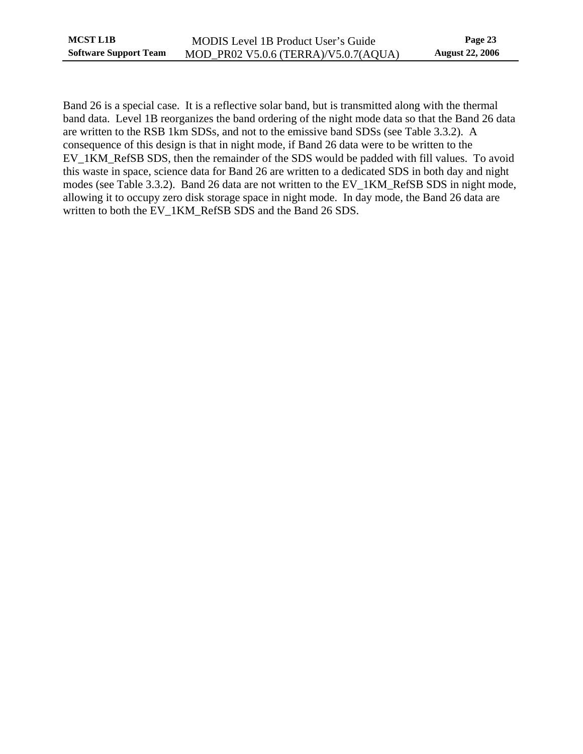Band 26 is a special case. It is a reflective solar band, but is transmitted along with the thermal band data. Level 1B reorganizes the band ordering of the night mode data so that the Band 26 data are written to the RSB 1km SDSs, and not to the emissive band SDSs (see [Table 3.3.2\)](#page-24-1). A consequence of this design is that in night mode, if Band 26 data were to be written to the EV\_1KM\_RefSB SDS, then the remainder of the SDS would be padded with fill values. To avoid this waste in space, science data for Band 26 are written to a dedicated SDS in both day and night modes (see [Table 3.3.2](#page-24-1)). Band 26 data are not written to the EV\_1KM\_RefSB SDS in night mode, allowing it to occupy zero disk storage space in night mode. In day mode, the Band 26 data are written to both the EV\_1KM\_RefSB SDS and the Band 26 SDS.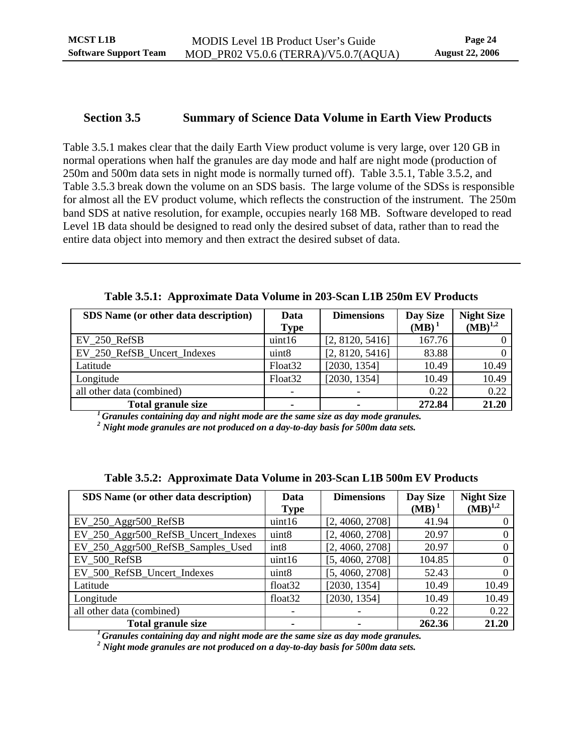### <span id="page-28-0"></span>**Section 3.5 Summary of Science Data Volume in Earth View Products**

[Table 3.5.1](#page-28-1) makes clear that the daily Earth View product volume is very large, over 120 GB in normal operations when half the granules are day mode and half are night mode (production of 250m and 500m data sets in night mode is normally turned off). [Table 3.5.1](#page-28-1), [Table 3.5.2](#page-28-2), and [Table 3.5.3](#page-29-1) break down the volume on an SDS basis. The large volume of the SDSs is responsible for almost all the EV product volume, which reflects the construction of the instrument. The 250m band SDS at native resolution, for example, occupies nearly 168 MB. Software developed to read Level 1B data should be designed to read only the desired subset of data, rather than to read the entire data object into memory and then extract the desired subset of data.

<span id="page-28-1"></span>

| <b>SDS</b> Name (or other data description) | Data                | <b>Dimensions</b> | Day Size<br>$(MB)^T$ | <b>Night Size</b><br>$(MB)^{1,2}$ |
|---------------------------------------------|---------------------|-------------------|----------------------|-----------------------------------|
|                                             | <b>Type</b>         |                   |                      |                                   |
| EV 250 RefSB                                | uint16              | [2, 8120, 5416]   | 167.76               |                                   |
| EV_250_RefSB_Uncert_Indexes                 | uint <sub>8</sub>   | [2, 8120, 5416]   | 83.88                |                                   |
| Latitude                                    | Float <sub>32</sub> | [2030, 1354]      | 10.49                | 10.49                             |
| Longitude                                   | Float <sub>32</sub> | [2030, 1354]      | 10.49                | 10.49                             |
| all other data (combined)                   |                     |                   | 0.22                 | 0.22                              |
| <b>Total granule size</b>                   |                     |                   | 272.84               | 21.20                             |

*1 Granules containing day and night mode are the same size as day mode granules.*

*2 Night mode granules are not produced on a day-to-day basis for 500m data sets.*

<span id="page-28-2"></span>

| SDS Name (or other data description) | Data<br><b>Type</b> | <b>Dimensions</b> | Day Size<br>$(MB)^1$ | <b>Night Size</b><br>$(MB)^{1,2}$ |
|--------------------------------------|---------------------|-------------------|----------------------|-----------------------------------|
| $EV_250_Aggr500_RefSB$               | uint16              | [2, 4060, 2708]   | 41.94                |                                   |
| EV_250_Aggr500_RefSB_Uncert_Indexes  | uint8               | [2, 4060, 2708]   | 20.97                |                                   |
| EV_250_Aggr500_RefSB_Samples_Used    | int <sub>8</sub>    | [2, 4060, 2708]   | 20.97                |                                   |
| EV_500_RefSB                         | uint16              | [5, 4060, 2708]   | 104.85               | 0                                 |
| EV_500_RefSB_Uncert_Indexes          | uint8               | [5, 4060, 2708]   | 52.43                |                                   |
| Latitude                             | float <sub>32</sub> | [2030, 1354]      | 10.49                | 10.49                             |
| Longitude                            | float <sub>32</sub> | [2030, 1354]      | 10.49                | 10.49                             |
| all other data (combined)            |                     |                   | 0.22                 | 0.22                              |
| <b>Total granule size</b>            |                     |                   | 262.36               | 21.20                             |

**Table 3.5.2: Approximate Data Volume in 203-Scan L1B 500m EV Products** 

*1 Granules containing day and night mode are the same size as day mode granules.*

*2 Night mode granules are not produced on a day-to-day basis for 500m data sets.*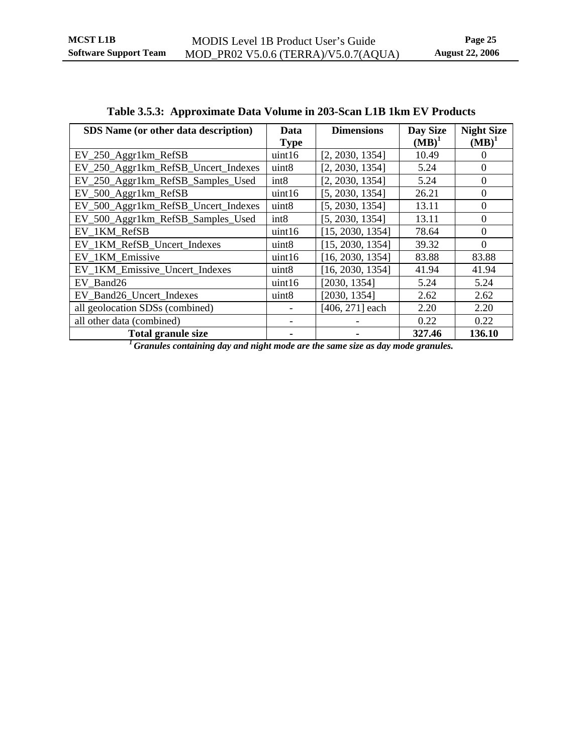<span id="page-29-1"></span><span id="page-29-0"></span>

| <b>SDS</b> Name (or other data description) | Data              | <b>Dimensions</b> | Day Size | <b>Night Size</b> |
|---------------------------------------------|-------------------|-------------------|----------|-------------------|
|                                             | <b>Type</b>       |                   | $(MB)^1$ | $(MB)^1$          |
| EV_250_Aggr1km_RefSB                        | uint16            | [2, 2030, 1354]   | 10.49    | $\Omega$          |
| EV_250_Aggr1km_RefSB_Uncert_Indexes         | uint8             | [2, 2030, 1354]   | 5.24     | $\Omega$          |
| EV_250_Aggr1km_RefSB_Samples_Used           | int <sub>8</sub>  | [2, 2030, 1354]   | 5.24     | $\Omega$          |
| EV_500_Aggr1km_RefSB                        | uint16            | [5, 2030, 1354]   | 26.21    | $\Omega$          |
| EV_500_Aggr1km_RefSB_Uncert_Indexes         | uint8             | [5, 2030, 1354]   | 13.11    | $\theta$          |
| EV_500_Aggr1km_RefSB_Samples_Used           | int8              | [5, 2030, 1354]   | 13.11    | $\Omega$          |
| EV 1KM RefSB                                | uint16            | [15, 2030, 1354]  | 78.64    | $\Omega$          |
| EV_1KM_RefSB_Uncert_Indexes                 | uint8             | [15, 2030, 1354]  | 39.32    | $\Omega$          |
| EV_1KM_Emissive                             | uint16            | [16, 2030, 1354]  | 83.88    | 83.88             |
| EV_1KM_Emissive_Uncert_Indexes              | uint8             | [16, 2030, 1354]  | 41.94    | 41.94             |
| EV Band26                                   | uint16            | [2030, 1354]      | 5.24     | 5.24              |
| EV_Band26_Uncert_Indexes                    | uint <sub>8</sub> | [2030, 1354]      | 2.62     | 2.62              |
| all geolocation SDSs (combined)             |                   | [406, 271] each   | 2.20     | 2.20              |
| all other data (combined)                   |                   |                   | 0.22     | 0.22              |
| <b>Total granule size</b>                   |                   |                   | 327.46   | 136.10            |

| Table 3.5.3: Approximate Data Volume in 203-Scan L1B 1km EV Products |
|----------------------------------------------------------------------|
|----------------------------------------------------------------------|

*1 Granules containing day and night mode are the same size as day mode granules.*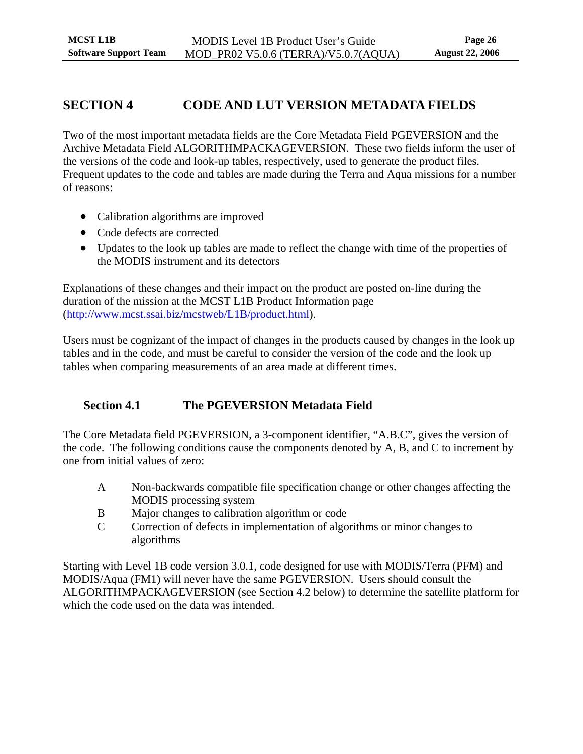## <span id="page-30-0"></span>**SECTION 4 CODE AND LUT VERSION METADATA FIELDS**

Two of the most important metadata fields are the Core Metadata Field PGEVERSION and the Archive Metadata Field ALGORITHMPACKAGEVERSION. These two fields inform the user of the versions of the code and look-up tables, respectively, used to generate the product files. Frequent updates to the code and tables are made during the Terra and Aqua missions for a number of reasons:

- Calibration algorithms are improved
- Code defects are corrected
- Updates to the look up tables are made to reflect the change with time of the properties of the MODIS instrument and its detectors

Explanations of these changes and their impact on the product are posted on-line during the duration of the mission at the MCST L1B Product Information page [\(http://www.mcst.ssai.biz/mcstweb/L1B/product.html\)](http://www.mcst.ssai.biz/mcstweb/L1B/product.html).

Users must be cognizant of the impact of changes in the products caused by changes in the look up tables and in the code, and must be careful to consider the version of the code and the look up tables when comparing measurements of an area made at different times.

## **Section 4.1 The PGEVERSION Metadata Field**

The Core Metadata field PGEVERSION, a 3-component identifier, "A.B.C", gives the version of the code. The following conditions cause the components denoted by A, B, and C to increment by one from initial values of zero:

- A Non-backwards compatible file specification change or other changes affecting the MODIS processing system
- B Major changes to calibration algorithm or code
- C Correction of defects in implementation of algorithms or minor changes to algorithms

Starting with Level 1B code version 3.0.1, code designed for use with MODIS/Terra (PFM) and MODIS/Aqua (FM1) will never have the same PGEVERSION. Users should consult the ALGORITHMPACKAGEVERSION (see [Section 4.2](#page-31-1) below) to determine the satellite platform for which the code used on the data was intended.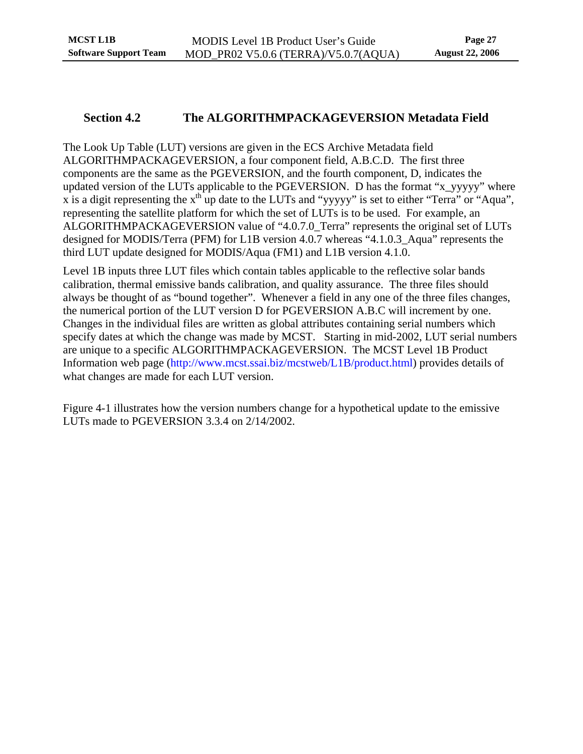## <span id="page-31-0"></span>**Section 4.2 The ALGORITHMPACKAGEVERSION Metadata Field**

<span id="page-31-1"></span>The Look Up Table (LUT) versions are given in the ECS Archive Metadata field ALGORITHMPACKAGEVERSION, a four component field, A.B.C.D. The first three components are the same as the PGEVERSION, and the fourth component, D, indicates the updated version of the LUTs applicable to the PGEVERSION. D has the format "x\_yyyyy" where x is a digit representing the  $x<sup>th</sup>$  up date to the LUTs and "yyyyy" is set to either "Terra" or "Aqua", representing the satellite platform for which the set of LUTs is to be used. For example, an ALGORITHMPACKAGEVERSION value of "4.0.7.0\_Terra" represents the original set of LUTs designed for MODIS/Terra (PFM) for L1B version 4.0.7 whereas "4.1.0.3\_Aqua" represents the third LUT update designed for MODIS/Aqua (FM1) and L1B version 4.1.0.

Level 1B inputs three LUT files which contain tables applicable to the reflective solar bands calibration, thermal emissive bands calibration, and quality assurance. The three files should always be thought of as "bound together". Whenever a field in any one of the three files changes, the numerical portion of the LUT version D for PGEVERSION A.B.C will increment by one. Changes in the individual files are written as global attributes containing serial numbers which specify dates at which the change was made by MCST. Starting in mid-2002, LUT serial numbers are unique to a specific ALGORITHMPACKAGEVERSION. The MCST Level 1B Product Information web page [\(http://www.mcst.ssai.biz/mcstweb/L1B/product.html\)](http://www.mcst.ssai.biz/mcstweb/L1B/product.html) provides details of what changes are made for each LUT version.

Figure 4-1 illustrates how the version numbers change for a hypothetical update to the emissive LUTs made to PGEVERSION 3.3.4 on 2/14/2002.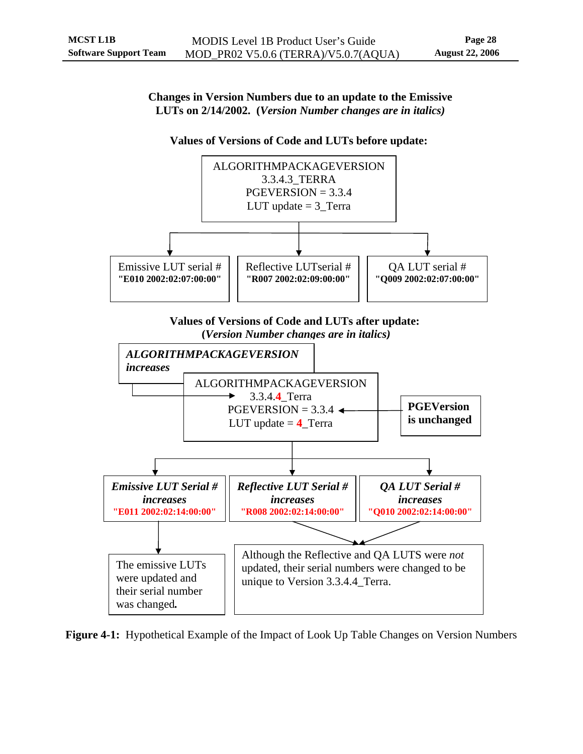<span id="page-32-0"></span>**Changes in Version Numbers due to an update to the Emissive LUTs on 2/14/2002. (***Version Number changes are in italics)*

#### **Values of Versions of Code and LUTs before update:**



The emissive LUTs were updated and their serial number was changed*.*  Although the Reflective and QA LUTS were *not* updated, their serial numbers were changed to be unique to Version 3.3.4.4\_Terra.

<span id="page-32-1"></span>**Figure 4-1:** Hypothetical Example of the Impact of Look Up Table Changes on Version Numbers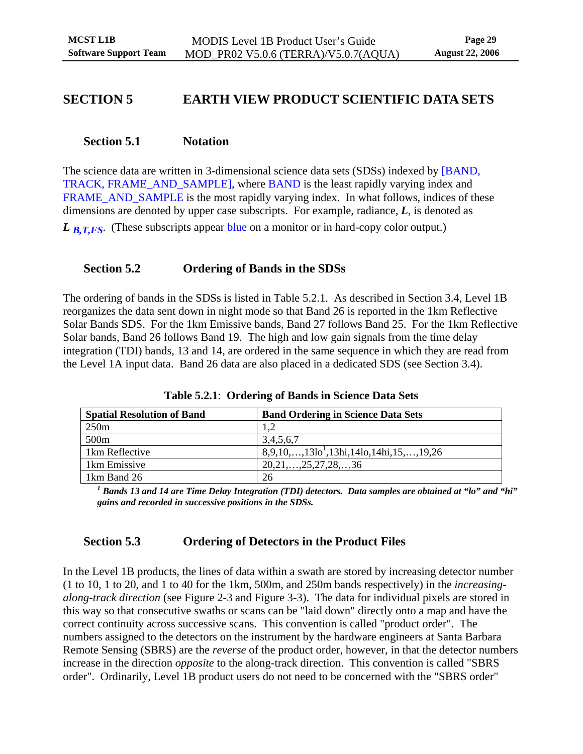## <span id="page-33-0"></span>**SECTION 5 EARTH VIEW PRODUCT SCIENTIFIC DATA SETS**

## **Section 5.1 Notation**

The science data are written in 3-dimensional science data sets (SDSs) indexed by [BAND, TRACK, FRAME\_AND\_SAMPLE], where BAND is the least rapidly varying index and FRAME\_AND\_SAMPLE is the most rapidly varying index. In what follows, indices of these dimensions are denoted by upper case subscripts. For example, radiance, *L*, is denoted as

*L*<sub>B,T,FS</sub>. (These subscripts appear blue on a monitor or in hard-copy color output.)

## **Section 5.2 Ordering of Bands in the SDSs**

The ordering of bands in the SDSs is listed in Table 5.2.1. As described in Section 3.4, Level 1B reorganizes the data sent down in night mode so that Band 26 is reported in the 1km Reflective Solar Bands SDS. For the 1km Emissive bands, Band 27 follows Band 25. For the 1km Reflective Solar bands, Band 26 follows Band 19. The high and low gain signals from the time delay integration (TDI) bands, 13 and 14, are ordered in the same sequence in which they are read from the Level 1A input data. Band 26 data are also placed in a dedicated SDS (see Section 3.4).

| <b>Spatial Resolution of Band</b> | <b>Band Ordering in Science Data Sets</b>   |
|-----------------------------------|---------------------------------------------|
| 250 <sub>m</sub>                  |                                             |
| 500 <sub>m</sub>                  | 3,4,5,6,7                                   |
| 1km Reflective                    | $8,9,10,,1310^{1},13hi,14lo,14hi,15,,19,26$ |
| 1km Emissive                      | $20,21,\ldots,25,27,28,\ldots,36$           |
| 1km Band 26                       | 26                                          |

**Table 5.2.1**: **Ordering of Bands in Science Data Sets**

*1 Bands 13 and 14 are Time Delay Integration (TDI) detectors. Data samples are obtained at "lo" and "hi" gains and recorded in successive positions in the SDSs.* 

## **Section 5.3 Ordering of Detectors in the Product Files**

In the Level 1B products, the lines of data within a swath are stored by increasing detector number (1 to 10, 1 to 20, and 1 to 40 for the 1km, 500m, and 250m bands respectively) in the *increasingalong-track direction* (see Figure 2-3 and Figure 3-3). The data for individual pixels are stored in this way so that consecutive swaths or scans can be "laid down" directly onto a map and have the correct continuity across successive scans. This convention is called "product order". The numbers assigned to the detectors on the instrument by the hardware engineers at Santa Barbara Remote Sensing (SBRS) are the *reverse* of the product order, however, in that the detector numbers increase in the direction *opposite* to the along-track direction. This convention is called "SBRS order". Ordinarily, Level 1B product users do not need to be concerned with the "SBRS order"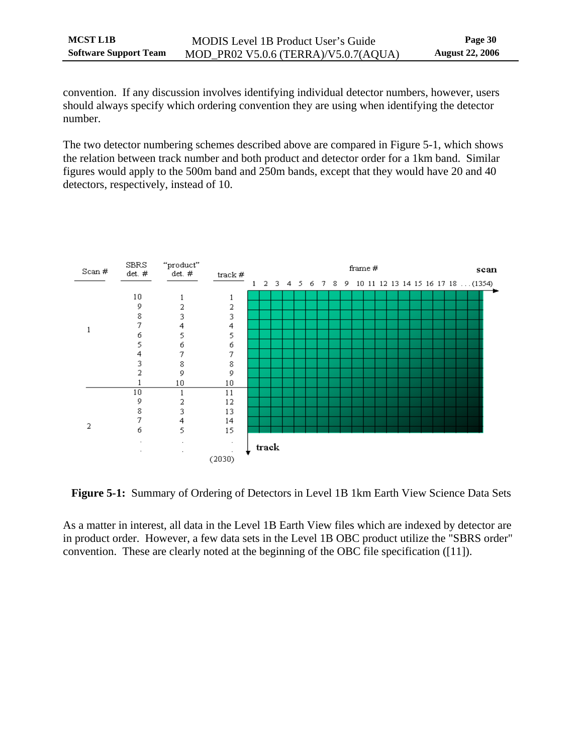<span id="page-34-0"></span>convention. If any discussion involves identifying individual detector numbers, however, users should always specify which ordering convention they are using when identifying the detector number.

The two detector numbering schemes described above are compared in Figure 5-1, which shows the relation between track number and both product and detector order for a 1km band. Similar figures would apply to the 500m band and 250m bands, except that they would have 20 and 40 detectors, respectively, instead of 10.



**Figure 5-1:** Summary of Ordering of Detectors in Level 1B 1km Earth View Science Data Sets

As a matter in interest, all data in the Level 1B Earth View files which are indexed by detector are in product order. However, a few data sets in the Level 1B OBC product utilize the "SBRS order" convention. These are clearly noted at the beginning of the OBC file specification ([11]).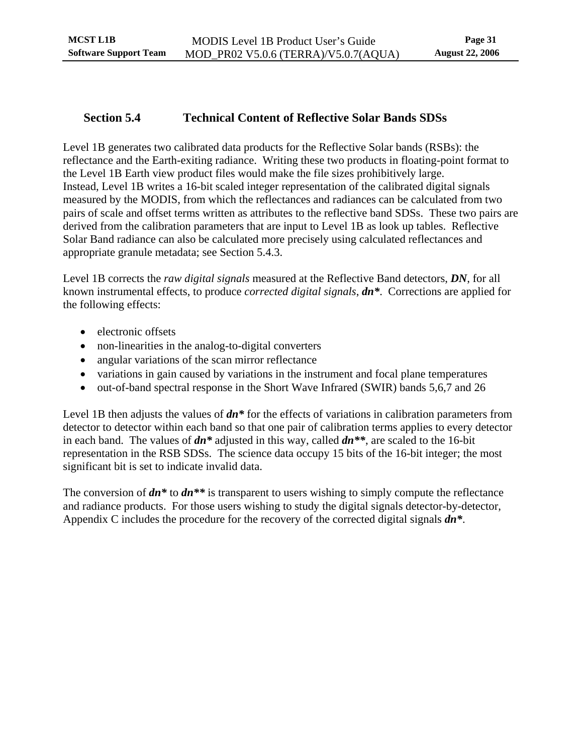## <span id="page-35-0"></span>**Section 5.4 Technical Content of Reflective Solar Bands SDSs**

<span id="page-35-1"></span>Level 1B generates two calibrated data products for the Reflective Solar bands (RSBs): the reflectance and the Earth-exiting radiance. Writing these two products in floating-point format to the Level 1B Earth view product files would make the file sizes prohibitively large. Instead, Level 1B writes a 16-bit scaled integer representation of the calibrated digital signals measured by the MODIS, from which the reflectances and radiances can be calculated from two pairs of scale and offset terms written as attributes to the reflective band SDSs. These two pairs are derived from the calibration parameters that are input to Level 1B as look up tables. Reflective Solar Band radiance can also be calculated more precisely using calculated reflectances and appropriate granule metadata; see Section 5.4.3.

Level 1B corrects the *raw digital signals* measured at the Reflective Band detectors, *DN*, for all known instrumental effects, to produce *corrected digital signals*, *dn\**. Corrections are applied for the following effects:

- electronic offsets
- non-linearities in the analog-to-digital converters
- angular variations of the scan mirror reflectance
- variations in gain caused by variations in the instrument and focal plane temperatures
- out-of-band spectral response in the Short Wave Infrared (SWIR) bands 5,6,7 and 26

Level 1B then adjusts the values of *dn\** for the effects of variations in calibration parameters from detector to detector within each band so that one pair of calibration terms applies to every detector in each band. The values of *dn\** adjusted in this way, called *dn\*\**, are scaled to the 16-bit representation in the RSB SDSs. The science data occupy 15 bits of the 16-bit integer; the most significant bit is set to indicate invalid data.

The conversion of *dn\** to *dn\*\** is transparent to users wishing to simply compute the reflectance and radiance products. For those users wishing to study the digital signals detector-by-detector, Appendix C includes the procedure for the recovery of the corrected digital signals *dn\**.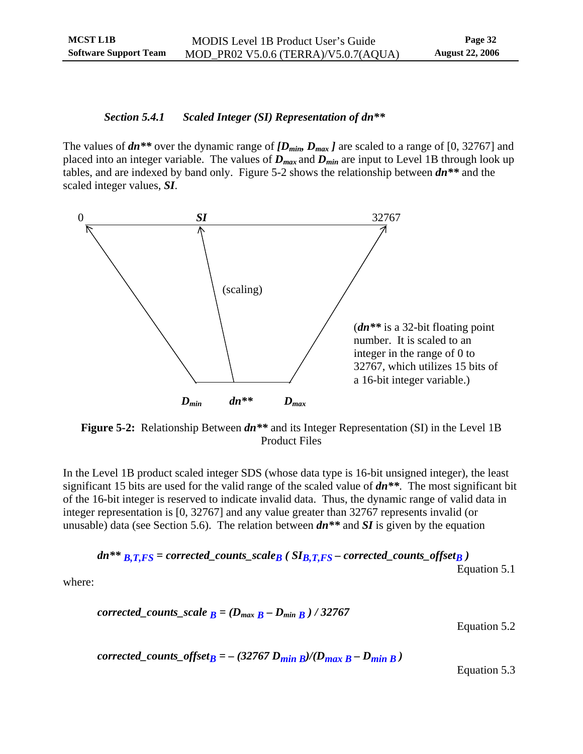#### <span id="page-36-0"></span>*Section 5.4.1 Scaled Integer (SI) Representation of dn\*\**

The values of  $dn^{**}$  over the dynamic range of  $[D_{min}, D_{max}]$  are scaled to a range of [0, 32767] and placed into an integer variable. The values of  $D_{max}$  and  $D_{min}$  are input to Level 1B through look up tables, and are indexed by band only. Figure 5-2 shows the relationship between *dn\*\** and the scaled integer values, *SI*.



**Figure 5-2:** Relationship Between *dn\*\** and its Integer Representation (SI) in the Level 1B Product Files

In the Level 1B product scaled integer SDS (whose data type is 16-bit unsigned integer), the least significant 15 bits are used for the valid range of the scaled value of *dn\*\**. The most significant bit of the 16-bit integer is reserved to indicate invalid data. Thus, the dynamic range of valid data in integer representation is [0, 32767] and any value greater than 32767 represents invalid (or unusable) data (see Section 5.6). The relation between *dn\*\** and *SI* is given by the equation

$$
dn^{**} B_{,T,FS} = corrected\_counts\_scale_B (S I_{B,T,FS} - corrected\_counts\_offset_B)
$$
  
Equation 5.1

where:

$$
corrected\_counts\_scale_B = (D_{max} B - D_{min} B) / 32767
$$

Equation 5.2

*corrected\_counts\_offset<sub>B</sub> = – (32767 D<sub>min B</sub>)/(D<sub>max B</sub> – D<sub>min B</sub>)* 

Equation 5.3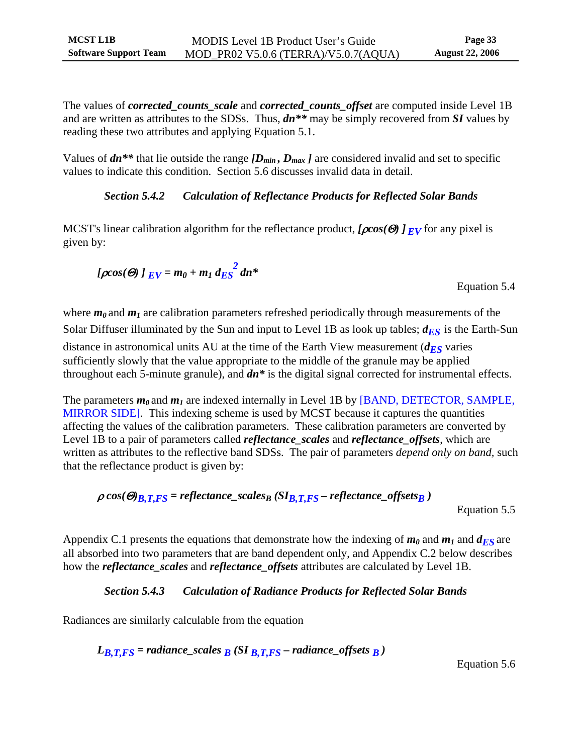<span id="page-37-0"></span>The values of *corrected\_counts\_scale* and *corrected\_counts\_offset* are computed inside Level 1B and are written as attributes to the SDSs. Thus, *dn\*\** may be simply recovered from *SI* values by reading these two attributes and applying Equation 5.1.

Values of  $dn^{**}$  that lie outside the range  $[D_{min}, D_{max}]$  are considered invalid and set to specific values to indicate this condition. Section 5.6 discusses invalid data in detail.

## *Section 5.4.2 Calculation of Reflectance Products for Reflected Solar Bands*

MCST's linear calibration algorithm for the reflectance product, *[*ρ*cos(*Θ*) ] EV* for any pixel is given by:

$$
[\rho cos(\Theta) \,]_{EV} = m_0 + m_1 \, d_{ES}^2 \, dn^*
$$

Equation 5.4

where  $m_0$  and  $m_1$  are calibration parameters refreshed periodically through measurements of the Solar Diffuser illuminated by the Sun and input to Level 1B as look up tables;  $d_{ES}$  is the Earth-Sun distance in astronomical units AU at the time of the Earth View measurement  $(d_{ES}$  varies sufficiently slowly that the value appropriate to the middle of the granule may be applied

throughout each 5-minute granule), and *dn\** is the digital signal corrected for instrumental effects.

The parameters  $m_0$  and  $m_1$  are indexed internally in Level 1B by [BAND, DETECTOR, SAMPLE, MIRROR SIDE]. This indexing scheme is used by MCST because it captures the quantities affecting the values of the calibration parameters. These calibration parameters are converted by Level 1B to a pair of parameters called *reflectance\_scales* and *reflectance\_offsets*, which are written as attributes to the reflective band SDSs. The pair of parameters *depend only on band,* such that the reflectance product is given by:

$$
\rho\cos(\Theta)_{B,T,FS} = reflectance\_scales_B(SI_{B,T,FS} - reflectance\_offsets_B)
$$

Equation 5.5

Appendix C.1 presents the equations that demonstrate how the indexing of  $m_0$  and  $m_1$  and  $d_{ES}$  are all absorbed into two parameters that are band dependent only, and Appendix C.2 below describes how the *reflectance\_scales* and *reflectance\_offsets* attributes are calculated by Level 1B.

## *Section 5.4.3 Calculation of Radiance Products for Reflected Solar Bands*

Radiances are similarly calculable from the equation

 $L_{B,T,FS}$  = radiance\_scales  $\overline{B}$  (SI  $\overline{B,T,FS}$  – radiance\_offsets  $\overline{B}$ )

Equation 5.6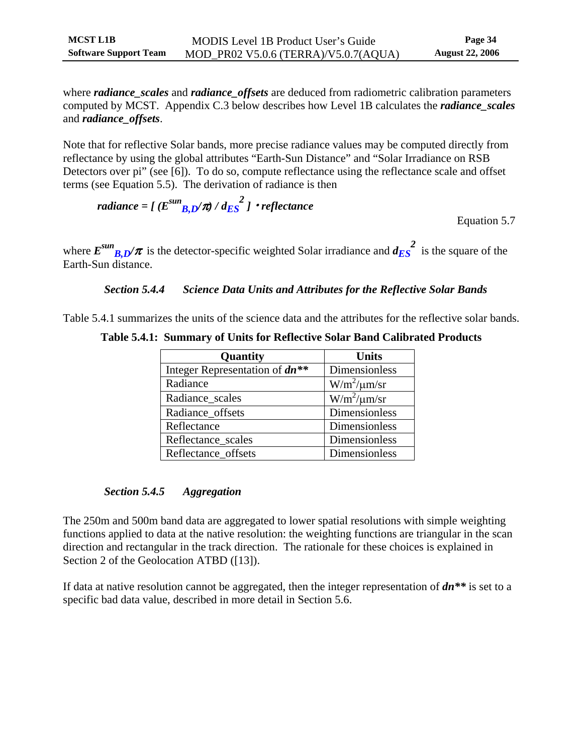<span id="page-38-0"></span>where *radiance\_scales* and *radiance\_offsets* are deduced from radiometric calibration parameters computed by MCST. Appendix C.3 below describes how Level 1B calculates the *radiance\_scales* and *radiance\_offsets*.

Note that for reflective Solar bands, more precise radiance values may be computed directly from reflectance by using the global attributes "Earth-Sun Distance" and "Solar Irradiance on RSB Detectors over pi" (see [6]). To do so, compute reflectance using the reflectance scale and offset terms (see Equation 5.5). The derivation of radiance is then

 $radiance = \int (E^{sun} B D/\pi) / dE S^2$  *]* • *reflectance* 

Equation 5.7

where  $E^{sun}$ <sub>*B,D</sub>* $\pi$  is the detector-specific weighted Solar irradiance and  $d_{ES}^2$  is the square of the</sub> Earth-Sun distance.

#### *Section 5.4.4 Science Data Units and Attributes for the Reflective Solar Bands*

Table 5.4.1 summarizes the units of the science data and the attributes for the reflective solar bands.

| Table 5.4.1: Summary of Units for Reflective Solar Band Calibrated Products |  |  |  |  |
|-----------------------------------------------------------------------------|--|--|--|--|
|-----------------------------------------------------------------------------|--|--|--|--|

| Quantity                         | <b>Units</b>            |
|----------------------------------|-------------------------|
| Integer Representation of $dn**$ | Dimensionless           |
| Radiance                         | $W/m^2/\mu m/sr$        |
| Radiance_scales                  | $\frac{W}{m^2}\mu$ m/sr |
| Radiance_offsets                 | Dimensionless           |
| Reflectance                      | <b>Dimensionless</b>    |
| Reflectance_scales               | Dimensionless           |
| Reflectance offsets              | Dimensionless           |

### *Section 5.4.5 Aggregation*

The 250m and 500m band data are aggregated to lower spatial resolutions with simple weighting functions applied to data at the native resolution: the weighting functions are triangular in the scan direction and rectangular in the track direction. The rationale for these choices is explained in Section 2 of the Geolocation ATBD ([13]).

If data at native resolution cannot be aggregated, then the integer representation of *dn\*\** is set to a specific bad data value, described in more detail in Section 5.6.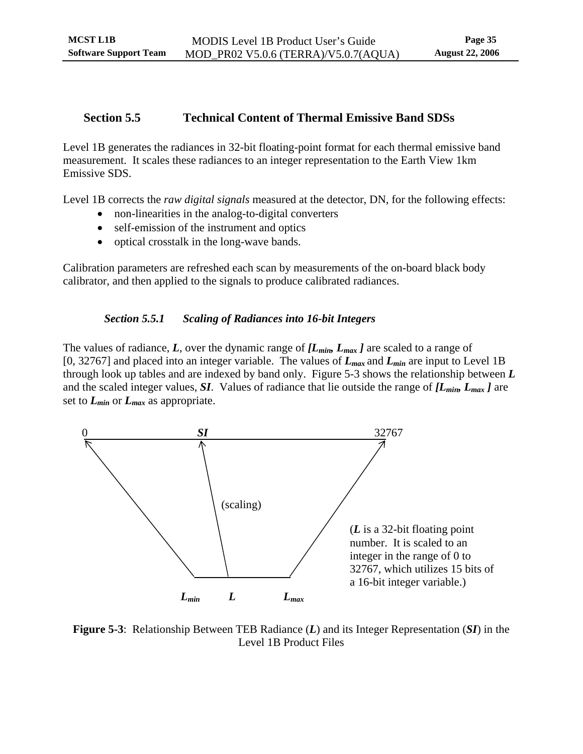### <span id="page-39-0"></span>**Section 5.5 Technical Content of Thermal Emissive Band SDSs**

<span id="page-39-1"></span>Level 1B generates the radiances in 32-bit floating-point format for each thermal emissive band measurement. It scales these radiances to an integer representation to the Earth View 1km Emissive SDS.

Level 1B corrects the *raw digital signals* measured at the detector, DN, for the following effects:

- non-linearities in the analog-to-digital converters
- self-emission of the instrument and optics
- optical crosstalk in the long-wave bands.

Calibration parameters are refreshed each scan by measurements of the on-board black body calibrator, and then applied to the signals to produce calibrated radiances.

### *Section 5.5.1 Scaling of Radiances into 16-bit Integers*

The values of radiance,  $L$ , over the dynamic range of  $L_{min}$ ,  $L_{max}$  *]* are scaled to a range of [0, 32767] and placed into an integer variable. The values of *Lmax* and *Lmin* are input to Level 1B through look up tables and are indexed by band only. Figure 5-3 shows the relationship between *L*  and the scaled integer values, *SI*. Values of radiance that lie outside the range of *[Lmin, Lmax ]* are set to *Lmin* or *Lmax* as appropriate.



**Figure 5-3**: Relationship Between TEB Radiance (*L*) and its Integer Representation (*SI*) in the Level 1B Product Files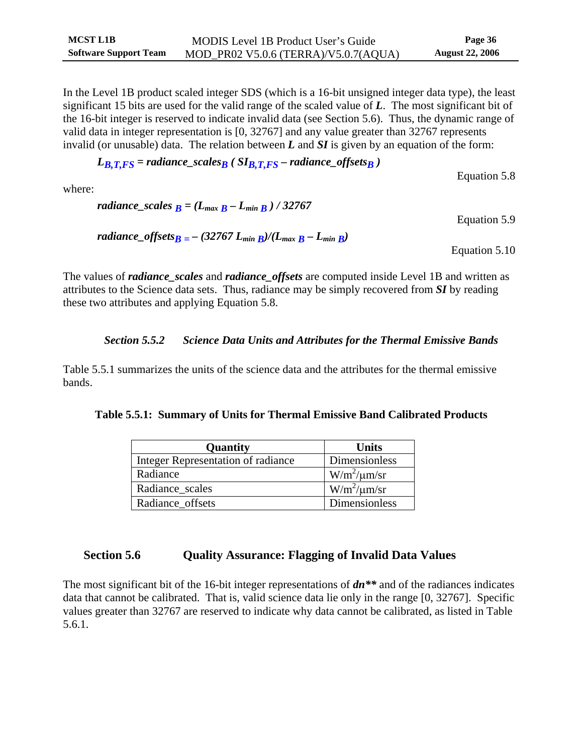<span id="page-40-0"></span>In the Level 1B product scaled integer SDS (which is a 16-bit unsigned integer data type), the least significant 15 bits are used for the valid range of the scaled value of *L*. The most significant bit of the 16-bit integer is reserved to indicate invalid data (see Section 5.6). Thus, the dynamic range of valid data in integer representation is [0, 32767] and any value greater than 32767 represents invalid (or unusable) data. The relation between *L* and *SI* is given by an equation of the form:

 $L_{B, T, FS}$  = radiance\_scales<sub>B</sub> ( $SI_{B, T, FS}$  – radiance\_offsets<sub>B</sub>)

Equation 5.8

where:

\n
$$
\text{radiance\_scales } B = (L_{\text{max}} B - L_{\text{min}} B) / 32767
$$
\n

\n\n $\text{Equation 5.9}$ \n

\n\n $\text{radiance\_offsets } B = -(32767 \, L_{\text{min}} B) / (L_{\text{max}} B - L_{\text{min}} B)$ \n

\n\n $\text{Equation 5.10}$ \n

The values of *radiance\_scales* and *radiance\_offsets* are computed inside Level 1B and written as attributes to the Science data sets. Thus, radiance may be simply recovered from *SI* by reading these two attributes and applying Equation 5.8.

## *Section 5.5.2 Science Data Units and Attributes for the Thermal Emissive Bands*

Table 5.5.1 summarizes the units of the science data and the attributes for the thermal emissive bands.

|  |  |  |  |  | Table 5.5.1: Summary of Units for Thermal Emissive Band Calibrated Products |
|--|--|--|--|--|-----------------------------------------------------------------------------|
|--|--|--|--|--|-----------------------------------------------------------------------------|

| Quantity                           | <b>Units</b>     |
|------------------------------------|------------------|
| Integer Representation of radiance | Dimensionless    |
| Radiance                           | $W/m^2/\mu m/sr$ |
| Radiance scales                    | $W/m^2/\mu m/sr$ |
| Radiance offsets                   | Dimensionless    |

## **Section 5.6 Quality Assurance: Flagging of Invalid Data Values**

The most significant bit of the 16-bit integer representations of *dn\*\** and of the radiances indicates data that cannot be calibrated. That is, valid science data lie only in the range [0, 32767]. Specific values greater than 32767 are reserved to indicate why data cannot be calibrated, as listed in Table 5.6.1.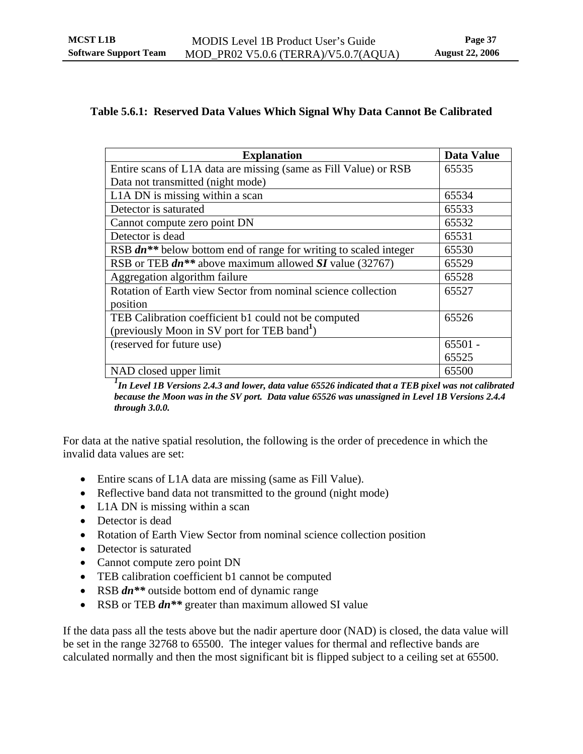### <span id="page-41-0"></span>**Table 5.6.1: Reserved Data Values Which Signal Why Data Cannot Be Calibrated**

| <b>Explanation</b>                                                                  | <b>Data Value</b> |
|-------------------------------------------------------------------------------------|-------------------|
| Entire scans of L1A data are missing (same as Fill Value) or RSB                    | 65535             |
| Data not transmitted (night mode)                                                   |                   |
| L1A DN is missing within a scan                                                     | 65534             |
| Detector is saturated                                                               | 65533             |
| Cannot compute zero point DN                                                        | 65532             |
| Detector is dead                                                                    | 65531             |
| RSB <i>dn</i> <sup>**</sup> below bottom end of range for writing to scaled integer | 65530             |
| RSB or TEB $dn^{**}$ above maximum allowed SI value (32767)                         | 65529             |
| Aggregation algorithm failure                                                       | 65528             |
| Rotation of Earth view Sector from nominal science collection                       | 65527             |
| position                                                                            |                   |
| TEB Calibration coefficient b1 could not be computed                                | 65526             |
| (previously Moon in SV port for TEB band <sup>1</sup> )                             |                   |
| (reserved for future use)                                                           | $65501 -$         |
|                                                                                     | 65525             |
| NAD closed upper limit                                                              | 65500             |

<sup>1</sup> In Level 1B Versions 2.4.3 and lower, data value 65526 indicated that a TEB pixel was not calibrated *because the Moon was in the SV port. Data value 65526 was unassigned in Level 1B Versions 2.4.4 through 3.0.0.*

For data at the native spatial resolution, the following is the order of precedence in which the invalid data values are set:

- Entire scans of L1A data are missing (same as Fill Value).
- Reflective band data not transmitted to the ground (night mode)
- L1A DN is missing within a scan
- Detector is dead
- Rotation of Earth View Sector from nominal science collection position
- Detector is saturated
- Cannot compute zero point DN
- TEB calibration coefficient b1 cannot be computed
- RSB  $dn^{**}$  outside bottom end of dynamic range
- RSB or TEB  $dn^{**}$  greater than maximum allowed SI value

If the data pass all the tests above but the nadir aperture door (NAD) is closed, the data value will be set in the range 32768 to 65500. The integer values for thermal and reflective bands are calculated normally and then the most significant bit is flipped subject to a ceiling set at 65500.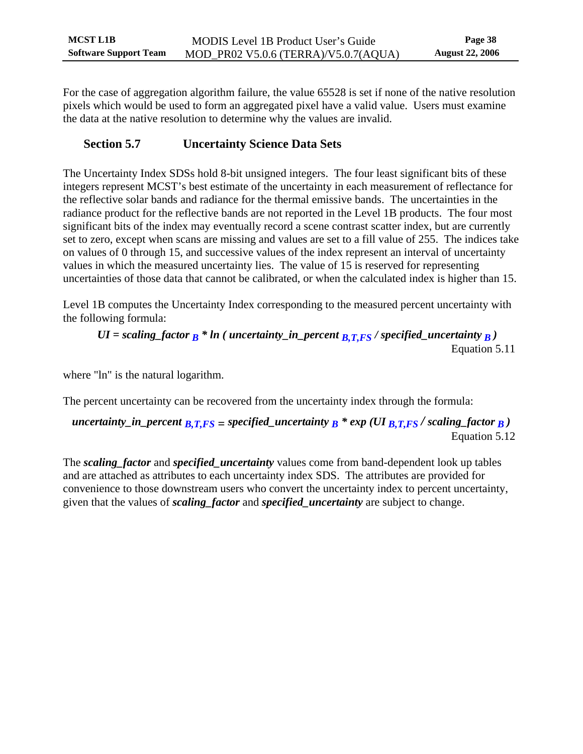<span id="page-42-0"></span>For the case of aggregation algorithm failure, the value 65528 is set if none of the native resolution pixels which would be used to form an aggregated pixel have a valid value. Users must examine the data at the native resolution to determine why the values are invalid.

## **Section 5.7 Uncertainty Science Data Sets**

<span id="page-42-1"></span>The Uncertainty Index SDSs hold 8-bit unsigned integers. The four least significant bits of these integers represent MCST's best estimate of the uncertainty in each measurement of reflectance for the reflective solar bands and radiance for the thermal emissive bands. The uncertainties in the radiance product for the reflective bands are not reported in the Level 1B products. The four most significant bits of the index may eventually record a scene contrast scatter index, but are currently set to zero, except when scans are missing and values are set to a fill value of 255. The indices take on values of 0 through 15, and successive values of the index represent an interval of uncertainty values in which the measured uncertainty lies. The value of 15 is reserved for representing uncertainties of those data that cannot be calibrated, or when the calculated index is higher than 15.

Level 1B computes the Uncertainty Index corresponding to the measured percent uncertainty with the following formula:

*UI* = scaling factor 
$$
B^*
$$
 *In* (*uncertainty\_in\_p* percent  $B, T, FS$  / specified\_uncertainty  $B$ )  
Equation 5.11

where "ln" is the natural logarithm.

The percent uncertainty can be recovered from the uncertainty index through the formula:

*uncertainty\_in\_percent*  $_{B,T,FS}$  *= specified\_uncertainty*  $_B$  *\* exp (UI*  $_{B,T,FS}$  */ scaling\_factor*  $_B$ *)* Equation 5.12

The *scaling\_factor* and *specified\_uncertainty* values come from band-dependent look up tables and are attached as attributes to each uncertainty index SDS. The attributes are provided for convenience to those downstream users who convert the uncertainty index to percent uncertainty, given that the values of *scaling\_factor* and *specified\_uncertainty* are subject to change.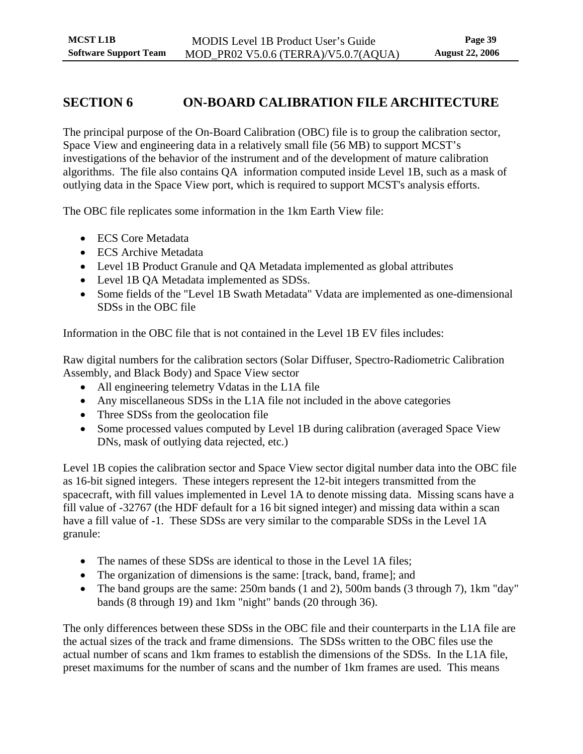## <span id="page-43-0"></span>**SECTION 6 ON-BOARD CALIBRATION FILE ARCHITECTURE**

The principal purpose of the On-Board Calibration (OBC) file is to group the calibration sector, Space View and engineering data in a relatively small file (56 MB) to support MCST's investigations of the behavior of the instrument and of the development of mature calibration algorithms. The file also contains QA information computed inside Level 1B, such as a mask of outlying data in the Space View port, which is required to support MCST's analysis efforts.

The OBC file replicates some information in the 1km Earth View file:

- ECS Core Metadata
- ECS Archive Metadata
- Level 1B Product Granule and QA Metadata implemented as global attributes
- Level 1B QA Metadata implemented as SDSs.
- Some fields of the "Level 1B Swath Metadata" Vdata are implemented as one-dimensional SDSs in the OBC file

Information in the OBC file that is not contained in the Level 1B EV files includes:

Raw digital numbers for the calibration sectors (Solar Diffuser, Spectro-Radiometric Calibration Assembly, and Black Body) and Space View sector

- All engineering telemetry Vdatas in the L1A file
- Any miscellaneous SDSs in the L1A file not included in the above categories
- Three SDSs from the geolocation file
- Some processed values computed by Level 1B during calibration (averaged Space View DNs, mask of outlying data rejected, etc.)

Level 1B copies the calibration sector and Space View sector digital number data into the OBC file as 16-bit signed integers. These integers represent the 12-bit integers transmitted from the spacecraft, with fill values implemented in Level 1A to denote missing data. Missing scans have a fill value of -32767 (the HDF default for a 16 bit signed integer) and missing data within a scan have a fill value of -1. These SDSs are very similar to the comparable SDSs in the Level 1A granule:

- The names of these SDSs are identical to those in the Level 1A files;
- The organization of dimensions is the same: [track, band, frame]; and
- The band groups are the same: 250m bands (1 and 2), 500m bands (3 through 7), 1km "day" bands (8 through 19) and 1km "night" bands (20 through 36).

The only differences between these SDSs in the OBC file and their counterparts in the L1A file are the actual sizes of the track and frame dimensions. The SDSs written to the OBC files use the actual number of scans and 1km frames to establish the dimensions of the SDSs. In the L1A file, preset maximums for the number of scans and the number of 1km frames are used. This means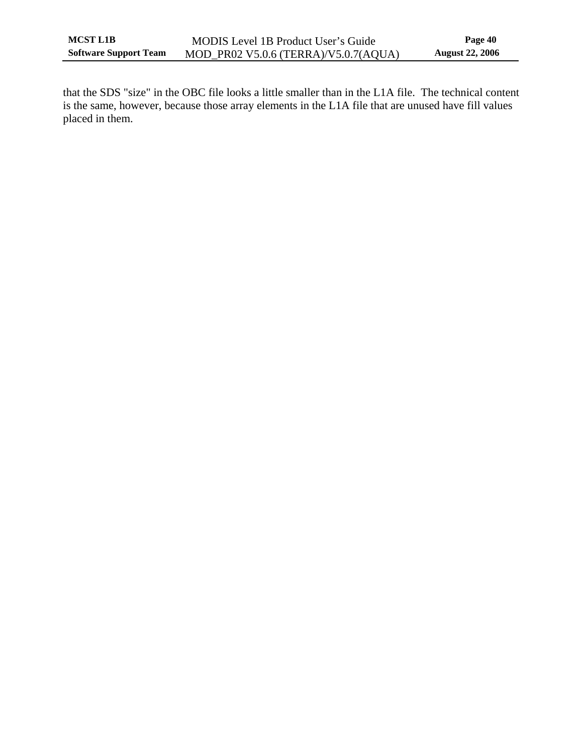that the SDS "size" in the OBC file looks a little smaller than in the L1A file. The technical content is the same, however, because those array elements in the L1A file that are unused have fill values placed in them.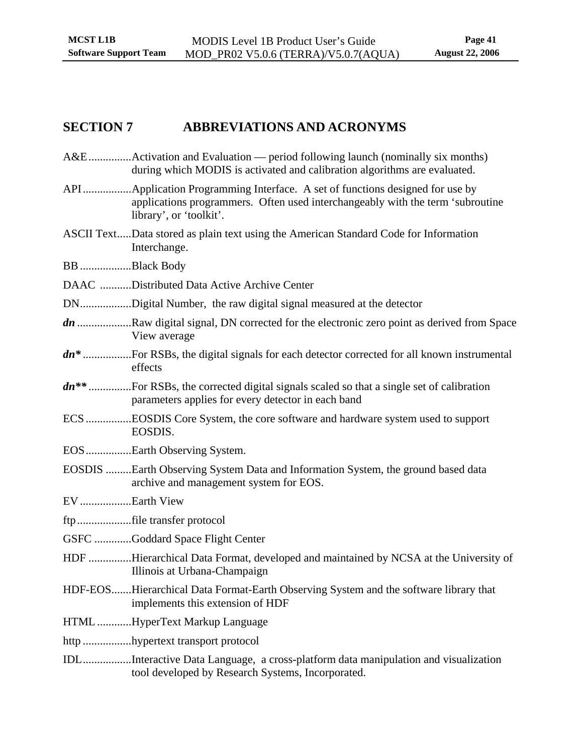## <span id="page-45-0"></span>**SECTION 7 ABBREVIATIONS AND ACRONYMS**

- A&E...............Activation and Evaluation period following launch (nominally six months) during which MODIS is activated and calibration algorithms are evaluated.
- API.................Application Programming Interface. A set of functions designed for use by applications programmers. Often used interchangeably with the term 'subroutine library', or 'toolkit'.
- ASCII Text.....Data stored as plain text using the American Standard Code for Information Interchange.
- BB ..................Black Body
- DAAC ...........Distributed Data Active Archive Center
- DN..................Digital Number, the raw digital signal measured at the detector
- *dn* ...................Raw digital signal, DN corrected for the electronic zero point as derived from Space View average
- *dn\** .................For RSBs, the digital signals for each detector corrected for all known instrumental effects
- *dn\*\** ...............For RSBs, the corrected digital signals scaled so that a single set of calibration parameters applies for every detector in each band
- ECS ................EOSDIS Core System, the core software and hardware system used to support EOSDIS.
- EOS................Earth Observing System.
- EOSDIS .........Earth Observing System Data and Information System, the ground based data archive and management system for EOS.
- EV ..................Earth View
- ftp...................file transfer protocol
- GSFC .............Goddard Space Flight Center
- HDF ...............Hierarchical Data Format, developed and maintained by NCSA at the University of Illinois at Urbana-Champaign
- HDF-EOS.......Hierarchical Data Format-Earth Observing System and the software library that implements this extension of HDF
- HTML ............HyperText Markup Language
- http .................hypertext transport protocol
- IDL.................Interactive Data Language, a cross-platform data manipulation and visualization tool developed by Research Systems, Incorporated.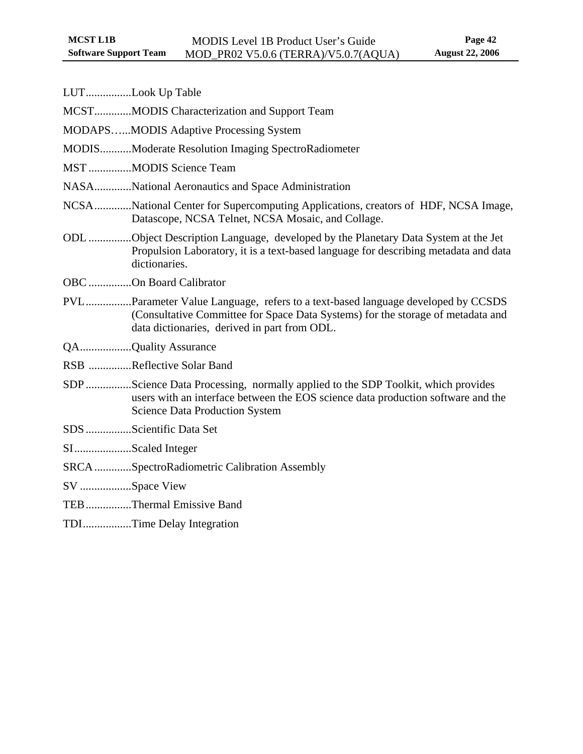| LUTLook Up Table        |                                                                                                                                                                                                                    |
|-------------------------|--------------------------------------------------------------------------------------------------------------------------------------------------------------------------------------------------------------------|
|                         | MCSTMODIS Characterization and Support Team                                                                                                                                                                        |
|                         | <b>MODAPSMODIS Adaptive Processing System</b>                                                                                                                                                                      |
|                         | <b>MODISModerate Resolution Imaging SpectroRadiometer</b>                                                                                                                                                          |
|                         | MST MODIS Science Team                                                                                                                                                                                             |
|                         | NASANational Aeronautics and Space Administration                                                                                                                                                                  |
|                         | NCSANational Center for Supercomputing Applications, creators of HDF, NCSA Image,<br>Datascope, NCSA Telnet, NCSA Mosaic, and Collage.                                                                             |
|                         | ODL Object Description Language, developed by the Planetary Data System at the Jet<br>Propulsion Laboratory, it is a text-based language for describing metadata and data<br>dictionaries.                         |
| OBC On Board Calibrator |                                                                                                                                                                                                                    |
|                         | PVLParameter Value Language, refers to a text-based language developed by CCSDS<br>(Consultative Committee for Space Data Systems) for the storage of metadata and<br>data dictionaries, derived in part from ODL. |
| QAQuality Assurance     |                                                                                                                                                                                                                    |
|                         | RSB Reflective Solar Band                                                                                                                                                                                          |
|                         | SDP Science Data Processing, normally applied to the SDP Toolkit, which provides<br>users with an interface between the EOS science data production software and the<br><b>Science Data Production System</b>      |
| SDS Scientific Data Set |                                                                                                                                                                                                                    |
| SIScaled Integer        |                                                                                                                                                                                                                    |
|                         | SRCASpectroRadiometric Calibration Assembly                                                                                                                                                                        |
| SV Space View           |                                                                                                                                                                                                                    |
|                         | TEBThermal Emissive Band                                                                                                                                                                                           |
|                         | TDITime Delay Integration                                                                                                                                                                                          |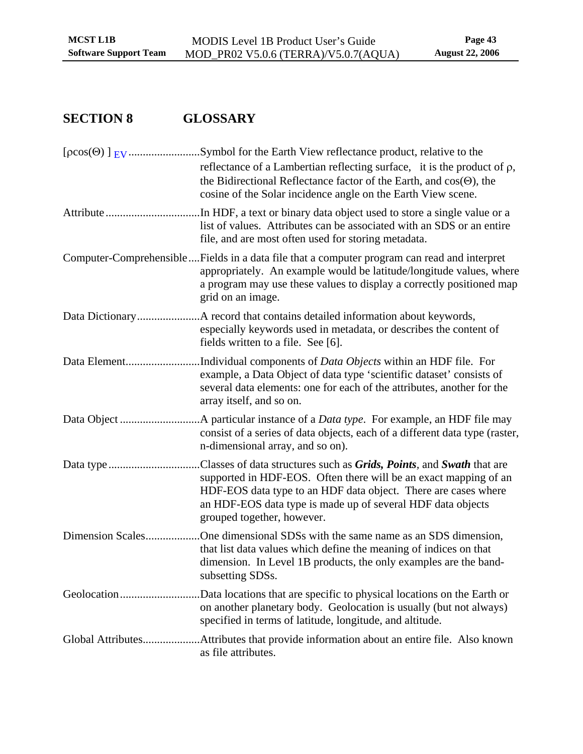# <span id="page-47-0"></span>**SECTION 8 GLOSSARY**

|                  | reflectance of a Lambertian reflecting surface, it is the product of $\rho$ ,<br>the Bidirectional Reflectance factor of the Earth, and $cos(\Theta)$ , the<br>cosine of the Solar incidence angle on the Earth View scene.                                                                                                    |
|------------------|--------------------------------------------------------------------------------------------------------------------------------------------------------------------------------------------------------------------------------------------------------------------------------------------------------------------------------|
|                  | In HDF, a text or binary data object used to store a single value or a<br>list of values. Attributes can be associated with an SDS or an entire<br>file, and are most often used for storing metadata.                                                                                                                         |
|                  | Computer-ComprehensibleFields in a data file that a computer program can read and interpret<br>appropriately. An example would be latitude/longitude values, where<br>a program may use these values to display a correctly positioned map<br>grid on an image.                                                                |
|                  | .A record that contains detailed information about keywords,<br>especially keywords used in metadata, or describes the content of<br>fields written to a file. See [6].                                                                                                                                                        |
|                  | Individual components of <i>Data Objects</i> within an HDF file. For<br>example, a Data Object of data type 'scientific dataset' consists of<br>several data elements: one for each of the attributes, another for the<br>array itself, and so on.                                                                             |
|                  | A particular instance of a <i>Data type</i> . For example, an HDF file may<br>consist of a series of data objects, each of a different data type (raster,<br>n-dimensional array, and so on).                                                                                                                                  |
|                  | Classes of data structures such as <i>Grids</i> , <i>Points</i> , and <i>Swath</i> that are<br>supported in HDF-EOS. Often there will be an exact mapping of an<br>HDF-EOS data type to an HDF data object. There are cases where<br>an HDF-EOS data type is made up of several HDF data objects<br>grouped together, however. |
| Dimension Scales | One dimensional SDSs with the same name as an SDS dimension,<br>that list data values which define the meaning of indices on that<br>dimension. In Level 1B products, the only examples are the band-<br>subsetting SDSs.                                                                                                      |
|                  | Data locations that are specific to physical locations on the Earth or<br>on another planetary body. Geolocation is usually (but not always)<br>specified in terms of latitude, longitude, and altitude.                                                                                                                       |
|                  | as file attributes.                                                                                                                                                                                                                                                                                                            |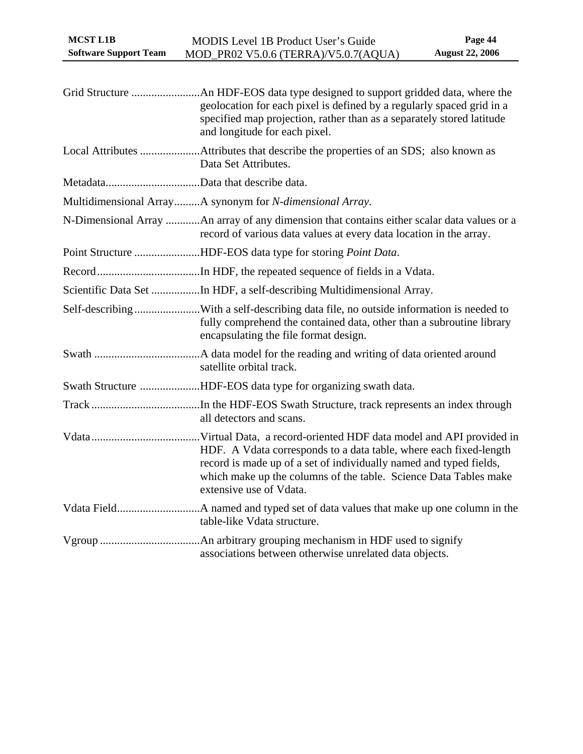| <b>MCST L1B</b><br><b>Software Support Team</b> | <b>MODIS Level 1B Product User's Guide</b><br>MOD_PR02 V5.0.6 (TERRA)/V5.0.7(AQUA)                                                                                                                                                     | Page 44<br><b>August 22, 2006</b> |
|-------------------------------------------------|----------------------------------------------------------------------------------------------------------------------------------------------------------------------------------------------------------------------------------------|-----------------------------------|
|                                                 |                                                                                                                                                                                                                                        |                                   |
|                                                 | geolocation for each pixel is defined by a regularly spaced grid in a<br>specified map projection, rather than as a separately stored latitude<br>and longitude for each pixel.                                                        |                                   |
|                                                 | Data Set Attributes.                                                                                                                                                                                                                   |                                   |
|                                                 |                                                                                                                                                                                                                                        |                                   |
|                                                 | Multidimensional ArrayA synonym for N-dimensional Array.                                                                                                                                                                               |                                   |
|                                                 | N-Dimensional Array An array of any dimension that contains either scalar data values or a<br>record of various data values at every data location in the array.                                                                       |                                   |
|                                                 | Point Structure HDF-EOS data type for storing Point Data.                                                                                                                                                                              |                                   |
|                                                 |                                                                                                                                                                                                                                        |                                   |
|                                                 | Scientific Data Set In HDF, a self-describing Multidimensional Array.                                                                                                                                                                  |                                   |
|                                                 | Self-describingWith a self-describing data file, no outside information is needed to<br>fully comprehend the contained data, other than a subroutine library<br>encapsulating the file format design.                                  |                                   |
|                                                 | satellite orbital track.                                                                                                                                                                                                               |                                   |
|                                                 | Swath Structure HDF-EOS data type for organizing swath data.                                                                                                                                                                           |                                   |
|                                                 | all detectors and scans.                                                                                                                                                                                                               |                                   |
|                                                 | HDF. A Vdata corresponds to a data table, where each fixed-length<br>record is made up of a set of individually named and typed fields,<br>which make up the columns of the table. Science Data Tables make<br>extensive use of Vdata. |                                   |
|                                                 | table-like Vdata structure.                                                                                                                                                                                                            |                                   |
|                                                 | associations between otherwise unrelated data objects.                                                                                                                                                                                 |                                   |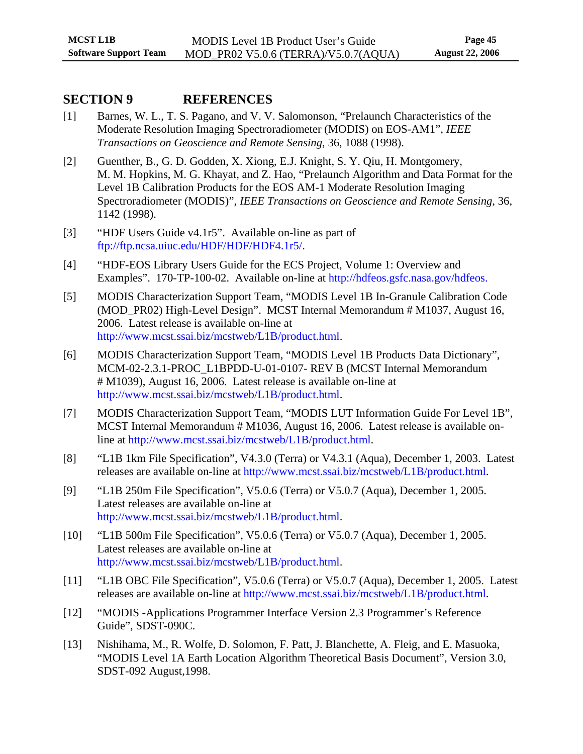## <span id="page-49-0"></span>**SECTION 9 REFERENCES**

- <span id="page-49-5"></span>[1] Barnes, W. L., T. S. Pagano, and V. V. Salomonson, "Prelaunch Characteristics of the Moderate Resolution Imaging Spectroradiometer (MODIS) on EOS-AM1", *IEEE Transactions on Geoscience and Remote Sensing*, 36, 1088 (1998).
- <span id="page-49-6"></span>[2] Guenther, B., G. D. Godden, X. Xiong, E.J. Knight, S. Y. Qiu, H. Montgomery, M. M. Hopkins, M. G. Khayat, and Z. Hao, "Prelaunch Algorithm and Data Format for the Level 1B Calibration Products for the EOS AM-1 Moderate Resolution Imaging Spectroradiometer (MODIS)", *IEEE Transactions on Geoscience and Remote Sensing*, 36, 1142 (1998).
- <span id="page-49-8"></span>[3] "HDF Users Guide v4.1r5". Available on-line as part of <ftp://ftp.ncsa.uiuc.edu/HDF/HDF/HDF4.1r5/>.
- <span id="page-49-9"></span>[4] "HDF-EOS Library Users Guide for the ECS Project, Volume 1: Overview and Examples". 170-TP-100-02. Available on-line at [http://hdfeos.gsfc.nasa.gov/hdfeos.](http://hdfeos.gsfc.nasa.gov/hdfeos)
- <span id="page-49-7"></span>[5] MODIS Characterization Support Team, "MODIS Level 1B In-Granule Calibration Code (MOD\_PR02) High-Level Design". MCST Internal Memorandum # M1037, August 16, 2006. Latest release is available on-line at [http://www.mcst.ssai.biz/mcstweb/L1B/product.html.](http://www.mcst.ssai.biz/mcstweb/L1B/product.html)
- [6] MODIS Characterization Support Team, "MODIS Level 1B Products Data Dictionary", MCM-02-2.3.1-PROC\_L1BPDD-U-01-0107- REV B (MCST Internal Memorandum # M1039), August 16, 2006. Latest release is available on-line at [http://www.mcst.ssai.biz/mcstweb/L1B/product.html.](http://www.mcst.ssai.biz/mcstweb/L1B/product.html)
- [7] MODIS Characterization Support Team, "MODIS LUT Information Guide For Level 1B", MCST Internal Memorandum # M1036, August 16, 2006. Latest release is available online at [http://www.mcst.ssai.biz/mcstweb/L1B/product.html.](http://www.mcst.ssai.biz/mcstweb/L1B/product.html)
- <span id="page-49-1"></span>[8] "L1B 1km File Specification", V4.3.0 (Terra) or V4.3.1 (Aqua), December 1, 2003. Latest releases are available on-line at <http://www.mcst.ssai.biz/mcstweb/L1B/product.html>.
- <span id="page-49-2"></span>[9] "L1B 250m File Specification", V5.0.6 (Terra) or V5.0.7 (Aqua), December 1, 2005. Latest releases are available on-line at [http://www.mcst.ssai.biz/mcstweb/L1B/product.html.](http://www.mcst.ssai.biz/mcstweb/L1B/product.html)
- <span id="page-49-3"></span>[10] "L1B 500m File Specification", V5.0.6 (Terra) or V5.0.7 (Aqua), December 1, 2005. Latest releases are available on-line at [http://www.mcst.ssai.biz/mcstweb/L1B/product.html.](http://www.mcst.ssai.biz/mcstweb/L1B/product.html)
- <span id="page-49-4"></span>[11] "L1B OBC File Specification", V5.0.6 (Terra) or V5.0.7 (Aqua), December 1, 2005. Latest releases are available on-line at <http://www.mcst.ssai.biz/mcstweb/L1B/product.html>.
- [12] "MODIS -Applications Programmer Interface Version 2.3 Programmer's Reference Guide", SDST-090C.
- [13] Nishihama, M., R. Wolfe, D. Solomon, F. Patt, J. Blanchette, A. Fleig, and E. Masuoka, "MODIS Level 1A Earth Location Algorithm Theoretical Basis Document", Version 3.0, SDST-092 August,1998.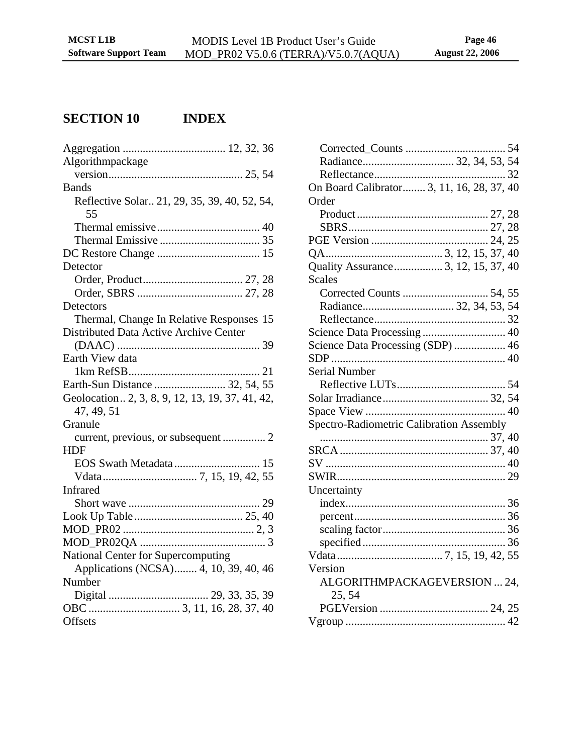# <span id="page-50-0"></span>**SECTION 10 INDEX**

| Algorithmpackage                                 |
|--------------------------------------------------|
|                                                  |
| <b>Bands</b>                                     |
| Reflective Solar 21, 29, 35, 39, 40, 52, 54,     |
| 55                                               |
|                                                  |
|                                                  |
|                                                  |
| Detector                                         |
|                                                  |
|                                                  |
| Detectors                                        |
| Thermal, Change In Relative Responses 15         |
| <b>Distributed Data Active Archive Center</b>    |
|                                                  |
| Earth View data                                  |
|                                                  |
| Earth-Sun Distance  32, 54, 55                   |
| Geolocation. 2, 3, 8, 9, 12, 13, 19, 37, 41, 42, |
| 47, 49, 51                                       |
| Granule                                          |
|                                                  |
| HDF                                              |
|                                                  |
|                                                  |
| Infrared                                         |
|                                                  |
|                                                  |
|                                                  |
|                                                  |
| National Center for Supercomputing               |
| Applications (NCSA) 4, 10, 39, 40, 46            |
| Number                                           |
|                                                  |
|                                                  |
| Offsets                                          |
|                                                  |

| On Board Calibrator 3, 11, 16, 28, 37, 40 |  |
|-------------------------------------------|--|
| Order                                     |  |
|                                           |  |
|                                           |  |
|                                           |  |
|                                           |  |
| Quality Assurance  3, 12, 15, 37, 40      |  |
| <b>Scales</b>                             |  |
|                                           |  |
|                                           |  |
|                                           |  |
|                                           |  |
| Science Data Processing (SDP)  46         |  |
|                                           |  |
| Serial Number                             |  |
|                                           |  |
|                                           |  |
|                                           |  |
| Spectro-Radiometric Calibration Assembly  |  |
|                                           |  |
|                                           |  |
|                                           |  |
|                                           |  |
| Uncertainty                               |  |
|                                           |  |
|                                           |  |
|                                           |  |
|                                           |  |
|                                           |  |
| Version                                   |  |
| ALGORITHMPACKAGEVERSION  24,              |  |
| 25, 54                                    |  |
|                                           |  |
|                                           |  |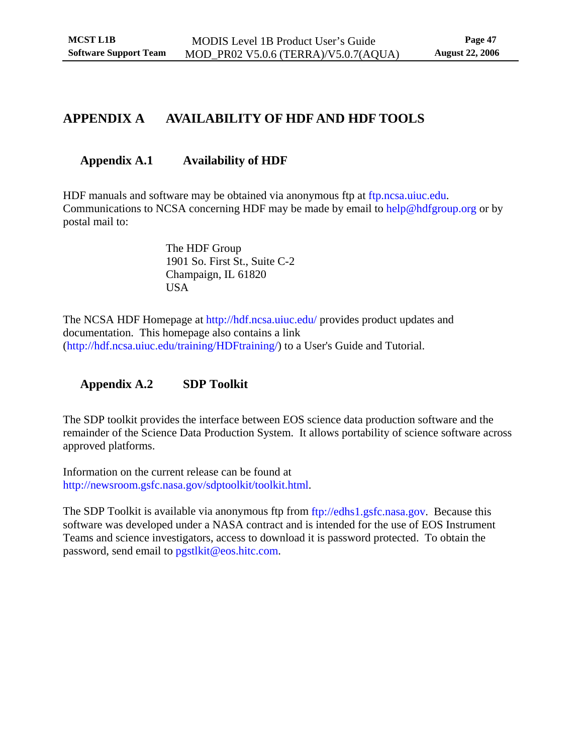## <span id="page-51-1"></span><span id="page-51-0"></span>**APPENDIX A AVAILABILITY OF HDF AND HDF TOOLS**

## **Appendix A.1 Availability of HDF**

HDF manuals and software may be obtained via anonymous ftp at [ftp.ncsa.uiuc.edu.](ftp://ftp.ncsa.uiuc.edu/) Communications to NCSA concerning HDF may be made by email to [help@hdfgroup.org](mailto:help@hdfgroup.org) or by postal mail to:

> The HDF Group 1901 So. First St., Suite C-2 Champaign, IL 61820 USA

The NCSA HDF Homepage at <http://hdf.ncsa.uiuc.edu/>provides product updates and documentation. This homepage also contains a link [\(http://hdf.ncsa.uiuc.edu/training/HDFtraining/\)](http://hdf.ncsa.uiuc.edu/training/HDFtraining) to a User's Guide and Tutorial.

**Appendix A.2 SDP Toolkit** 

<span id="page-51-2"></span>The SDP toolkit provides the interface between EOS science data production software and the remainder of the Science Data Production System. It allows portability of science software across approved platforms.

Information on the current release can be found at <http://newsroom.gsfc.nasa.gov/sdptoolkit/toolkit.html>.

The SDP Toolkit is available via anonymous ftp from [ftp://edhs1.gsfc.nasa.gov.](ftp://edhs1.gsfc.nasa.gov/) Because this software was developed under a NASA contract and is intended for the use of EOS Instrument Teams and science investigators, access to download it is password protected. To obtain the password, send email to pgstlkit@eos.hitc.com.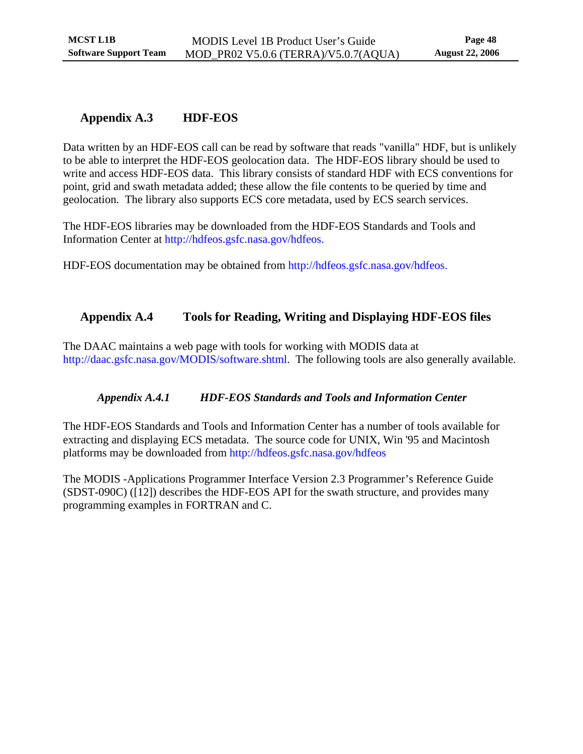## <span id="page-52-0"></span>**Appendix A.3 HDF-EOS**

Data written by an HDF-EOS call can be read by software that reads "vanilla" HDF, but is unlikely to be able to interpret the HDF-EOS geolocation data. The HDF-EOS library should be used to write and access HDF-EOS data. This library consists of standard HDF with ECS conventions for point, grid and swath metadata added; these allow the file contents to be queried by time and geolocation. The library also supports ECS core metadata, used by ECS search services.

The HDF-EOS libraries may be downloaded from the HDF-EOS Standards and Tools and Information Center at [http://hdfeos.gsfc.nasa.gov/hdfeos.](http://hdfeos.gsfc.nasa.gov/hdfeos)

HDF-EOS documentation may be obtained from <http://hdfeos.gsfc.nasa.gov/hdfeos>.

## **Appendix A.4 Tools for Reading, Writing and Displaying HDF-EOS files**

The DAAC maintains a web page with tools for working with MODIS data at [http://daac.gsfc.nasa.gov/MODIS/software.shtml.](http://daac.gsfc.nasa.gov/MODIS/software.shtml) The following tools are also generally available.

### *Appendix A.4.1 HDF-EOS Standards and Tools and Information Center*

The HDF-EOS Standards and Tools and Information Center has a number of tools available for extracting and displaying ECS metadata. The source code for UNIX, Win '95 and Macintosh platforms may be downloaded from<http://hdfeos.gsfc.nasa.gov/hdfeos>

The MODIS -Applications Programmer Interface Version 2.3 Programmer's Reference Guide (SDST-090C) ([12]) describes the HDF-EOS API for the swath structure, and provides many programming examples in FORTRAN and C.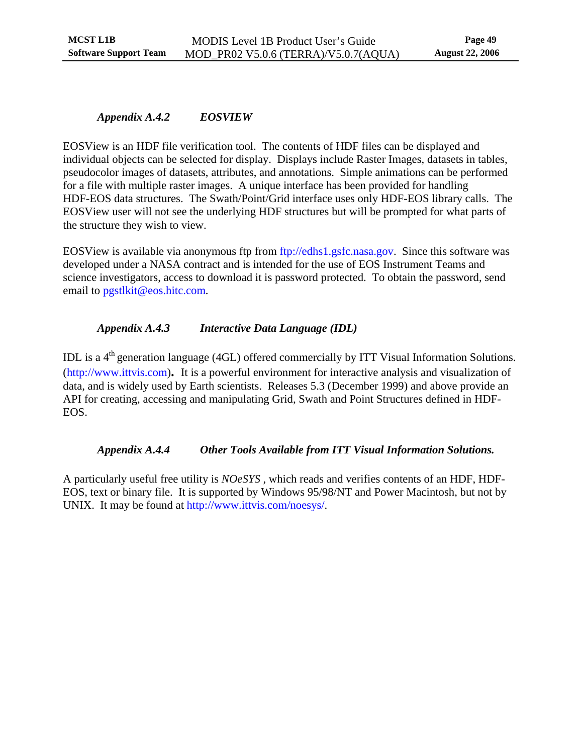### <span id="page-53-0"></span>*Appendix A.4.2 EOSVIEW*

EOSView is an HDF file verification tool. The contents of HDF files can be displayed and individual objects can be selected for display. Displays include Raster Images, datasets in tables, pseudocolor images of datasets, attributes, and annotations. Simple animations can be performed for a file with multiple raster images. A unique interface has been provided for handling HDF-EOS data structures. The Swath/Point/Grid interface uses only HDF-EOS library calls. The EOSView user will not see the underlying HDF structures but will be prompted for what parts of the structure they wish to view.

EOSView is available via anonymous ftp from [ftp://edhs1.gsfc.nasa.gov](ftp://edhs1.gsfc.nasa.gov/). Since this software was developed under a NASA contract and is intended for the use of EOS Instrument Teams and science investigators, access to download it is password protected. To obtain the password, send email to pgstlkit@eos.hitc.com.

## *Appendix A.4.3 Interactive Data Language (IDL)*

IDL is a 4<sup>th</sup> generation language (4GL) offered commercially by ITT Visual Information Solutions. [\(http://www.ittvis.com\)](http://www.ittvis.com/)**.** It is a powerful environment for interactive analysis and visualization of data, and is widely used by Earth scientists. Releases 5.3 (December 1999) and above provide an API for creating, accessing and manipulating Grid, Swath and Point Structures defined in HDF-EOS.

### *Appendix A.4.4 Other Tools Available from ITT Visual Information Solutions.*

A particularly useful free utility is *NOeSYS* , which reads and verifies contents of an HDF, HDF-EOS, text or binary file. It is supported by Windows 95/98/NT and Power Macintosh, but not by UNIX. It may be found at [http://www.ittvis.com/noesys/.](http://www.ittvis.com/noesys/)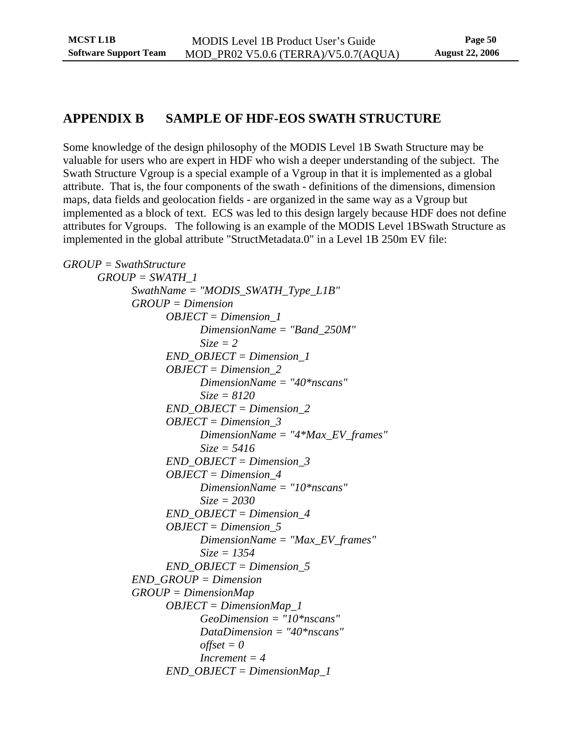## <span id="page-54-0"></span>**APPENDIX B SAMPLE OF HDF-EOS SWATH STRUCTURE**

Some knowledge of the design philosophy of the MODIS Level 1B Swath Structure may be valuable for users who are expert in HDF who wish a deeper understanding of the subject. The Swath Structure Vgroup is a special example of a Vgroup in that it is implemented as a global attribute. That is, the four components of the swath - definitions of the dimensions, dimension maps, data fields and geolocation fields - are organized in the same way as a Vgroup but implemented as a block of text. ECS was led to this design largely because HDF does not define attributes for Vgroups. The following is an example of the MODIS Level 1BSwath Structure as implemented in the global attribute "StructMetadata.0" in a Level 1B 250m EV file:

```
GROUP = SwathStructure 
GROUP = SWATH_1 
       SwathName = "MODIS_SWATH_Type_L1B" 
       GROUP = Dimension 
             OBJECT = Dimension_1 
                    DimensionName = "Band_250M" 
                    Size = 2 
             END_OBJECT = Dimension_1 
             OBJECT = Dimension_2 
                    DimensionName = "40*nscans" 
                    Size = 8120 
             END_OBJECT = Dimension_2 
             OBJECT = Dimension_3 
                    DimensionName = "4*Max_EV_frames" 
                    Size = 5416 
             END_OBJECT = Dimension_3 
             OBJECT = Dimension_4 
                    DimensionName = "10*nscans" 
                    Size = 2030 
             END_OBJECT = Dimension_4 
             OBJECT = Dimension_5 
                    DimensionName = "Max_EV_frames" 
                    Size = 1354 
             END_OBJECT = Dimension_5 
       END_GROUP = Dimension 
       GROUP = DimensionMap 
             OBJECT = DimensionMap_1 
                    GeoDimension = "10*nscans" 
                    DataDimension = "40*nscans" 
                   offset = 0 Increment = 4 
             END_OBJECT = DimensionMap_1
```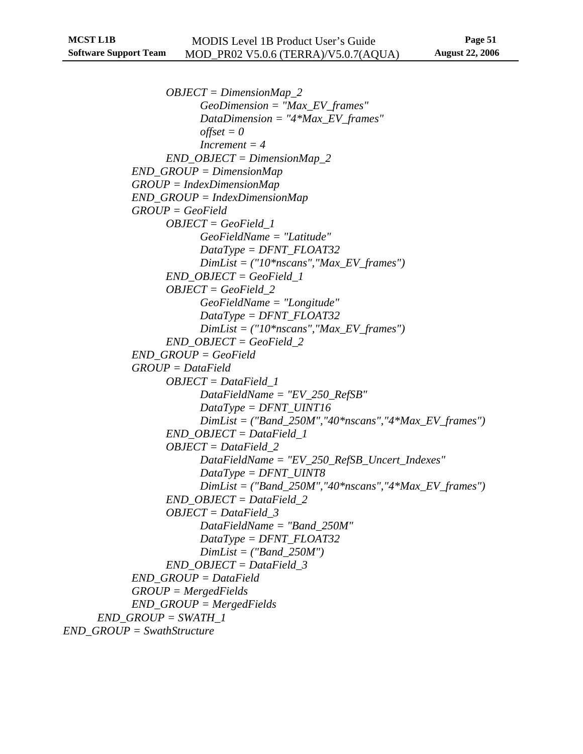*OBJECT = DimensionMap\_2 GeoDimension = "Max\_EV\_frames" DataDimension = "4\*Max\_EV\_frames"*   $offset = 0$  *Increment = 4 END\_OBJECT = DimensionMap\_2 END\_GROUP = DimensionMap GROUP = IndexDimensionMap END\_GROUP = IndexDimensionMap GROUP = GeoField OBJECT = GeoField\_1 GeoFieldName = "Latitude" DataType = DFNT\_FLOAT32 DimList = ("10\*nscans","Max\_EV\_frames") END\_OBJECT = GeoField\_1 OBJECT = GeoField\_2 GeoFieldName = "Longitude" DataType = DFNT\_FLOAT32 DimList = ("10\*nscans","Max\_EV\_frames") END\_OBJECT = GeoField\_2 END\_GROUP = GeoField GROUP = DataField OBJECT = DataField\_1 DataFieldName = "EV\_250\_RefSB" DataType = DFNT\_UINT16 DimList = ("Band\_250M","40\*nscans","4\*Max\_EV\_frames") END\_OBJECT = DataField\_1 OBJECT = DataField\_2 DataFieldName = "EV\_250\_RefSB\_Uncert\_Indexes" DataType = DFNT\_UINT8 DimList = ("Band\_250M","40\*nscans","4\*Max\_EV\_frames") END\_OBJECT = DataField\_2 OBJECT = DataField\_3 DataFieldName = "Band\_250M" DataType = DFNT\_FLOAT32 DimList = ("Band\_250M") END\_OBJECT = DataField\_3 END\_GROUP = DataField GROUP = MergedFields END\_GROUP = MergedFields END\_GROUP = SWATH\_1 END\_GROUP = SwathStructure*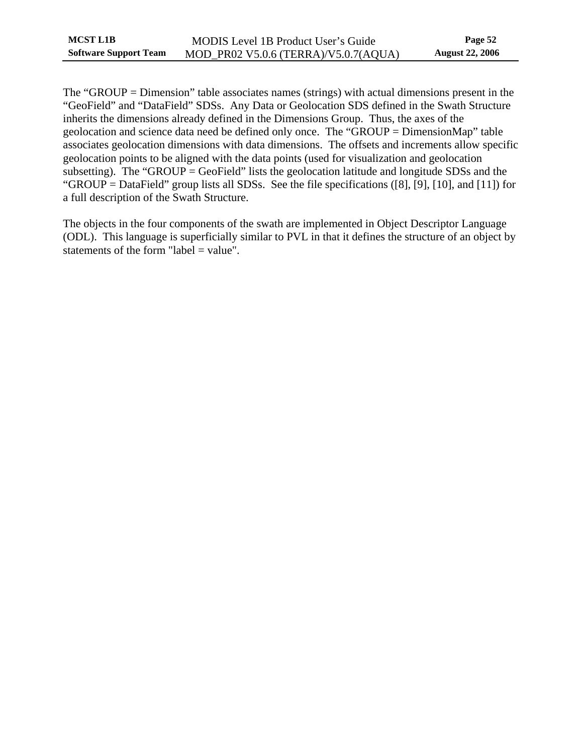| <b>MCST L1B</b>              | MODIS Level 1B Product User's Guide  | Page 52                |
|------------------------------|--------------------------------------|------------------------|
| <b>Software Support Team</b> | MOD_PR02 V5.0.6 (TERRA)/V5.0.7(AQUA) | <b>August 22, 2006</b> |

The "GROUP = Dimension" table associates names (strings) with actual dimensions present in the "GeoField" and "DataField" SDSs. Any Data or Geolocation SDS defined in the Swath Structure inherits the dimensions already defined in the Dimensions Group. Thus, the axes of the geolocation and science data need be defined only once. The "GROUP = DimensionMap" table associates geolocation dimensions with data dimensions. The offsets and increments allow specific geolocation points to be aligned with the data points (used for visualization and geolocation subsetting). The "GROUP  $=$  GeoField" lists the geolocation latitude and longitude SDSs and the "GROUP = DataField" group lists all SDSs. See the file specifications ([8], [9], [10], and [11]) for a full description of the Swath Structure.

The objects in the four components of the swath are implemented in Object Descriptor Language (ODL). This language is superficially similar to PVL in that it defines the structure of an object by statements of the form "label = value".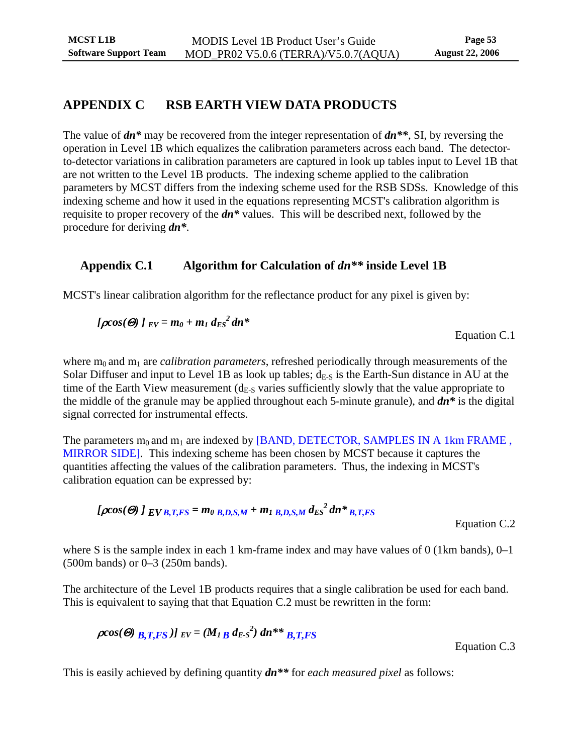## <span id="page-57-0"></span>**APPENDIX C RSB EARTH VIEW DATA PRODUCTS**

The value of *dn\** may be recovered from the integer representation of *dn\*\**, SI, by reversing the operation in Level 1B which equalizes the calibration parameters across each band. The detectorto-detector variations in calibration parameters are captured in look up tables input to Level 1B that are not written to the Level 1B products. The indexing scheme applied to the calibration parameters by MCST differs from the indexing scheme used for the RSB SDSs. Knowledge of this indexing scheme and how it used in the equations representing MCST's calibration algorithm is requisite to proper recovery of the *dn\** values. This will be described next, followed by the procedure for deriving *dn\**.

## **Appendix C.1 Algorithm for Calculation of** *dn\*\** **inside Level 1B**

MCST's linear calibration algorithm for the reflectance product for any pixel is given by:

$$
[\rho cos(\Theta) \,]_{EV} = m_0 + m_1 \, d_{ES}^2 \, dn^*
$$

Equation C.1

where  $m_0$  and  $m_1$  are *calibration parameters*, refreshed periodically through measurements of the Solar Diffuser and input to Level 1B as look up tables;  $d_{E-S}$  is the Earth-Sun distance in AU at the time of the Earth View measurement  $(d<sub>E-S</sub>$  varies sufficiently slowly that the value appropriate to the middle of the granule may be applied throughout each 5-minute granule), and *dn\** is the digital signal corrected for instrumental effects.

The parameters  $m_0$  and  $m_1$  are indexed by [BAND, DETECTOR, SAMPLES IN A 1km FRAME, MIRROR SIDE]. This indexing scheme has been chosen by MCST because it captures the quantities affecting the values of the calibration parameters. Thus, the indexing in MCST's calibration equation can be expressed by:

$$
[\rho cos(\Theta) \, I_{EVB,T,FS} = m_0 \, B_{D,S,M} + m_1 \, B_{D,S,M} \, d_{ES}^2 \, dn \, \ast \, B_{T,FS}
$$

Equation C.2

where S is the sample index in each 1 km-frame index and may have values of 0 (1 km bands), 0–1 (500m bands) or 0–3 (250m bands).

The architecture of the Level 1B products requires that a single calibration be used for each band. This is equivalent to saying that that Equation C.2 must be rewritten in the form:

$$
\rho cos(\Theta) \, B_{\rm T} T_{\rm F} S \, J \, EV = (M_{\rm I} \, B \, d_{\rm E} \, s^2) \, dn^{**} \, B_{\rm T} T_{\rm F} S
$$

Equation C.3

This is easily achieved by defining quantity *dn\*\** for *each measured pixel* as follows: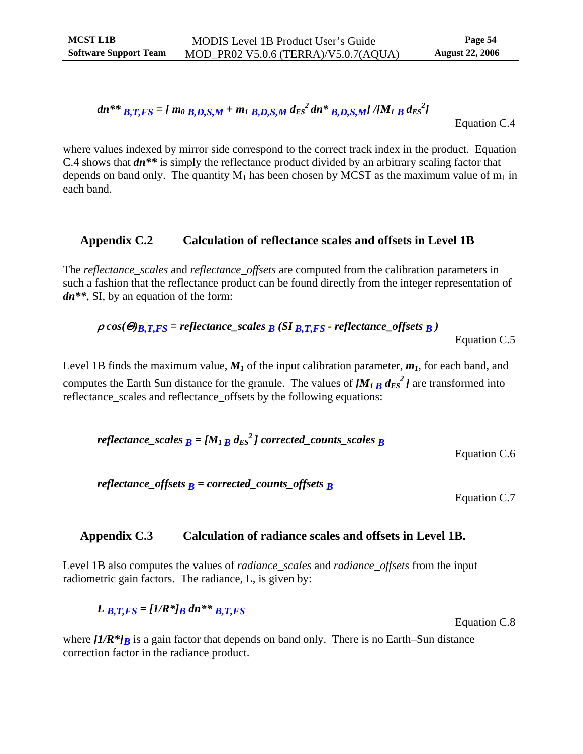<span id="page-58-0"></span>
$$
dn^{**} B_{1, T, FS} = [m_0 B_{1, D, S, M} + m_1 B_{1, D, S, M} d_{ES}^2 dn^* B_{1, D, S, M}] / [M_1 B d_{ES}^2]
$$

Equation C.4

where values indexed by mirror side correspond to the correct track index in the product. Equation C.4 shows that *dn\*\** is simply the reflectance product divided by an arbitrary scaling factor that depends on band only. The quantity  $M_1$  has been chosen by MCST as the maximum value of  $m_1$  in each band.

### **Appendix C.2 Calculation of reflectance scales and offsets in Level 1B**

The *reflectance\_scales* and *reflectance\_offsets* are computed from the calibration parameters in such a fashion that the reflectance product can be found directly from the integer representation of *dn\*\**, SI, by an equation of the form:

$$
\rho \cos(\Theta)_{B,T,FS} = reflectance_scales_B (SI_{B,T,FS} - reflectance_soffses_B)
$$

Equation C.5

Level 1B finds the maximum value,  $M<sub>1</sub>$  of the input calibration parameter,  $m<sub>1</sub>$ , for each band, and computes the Earth Sun distance for the granule. The values of  $[M_{1B} d_{ES}^2]$  are transformed into reflectance\_scales and reflectance\_offsets by the following equations:

*reflectance\_scales B = [M1 B dES 2 ] corrected\_counts\_scales B* 

Equation C.6

*reflectance\_offsets*  $\bf{B}$  = corrected\_counts\_offsets  $\bf{B}$ 

Equation C.7

### **Appendix C.3 Calculation of radiance scales and offsets in Level 1B.**

Level 1B also computes the values of *radiance\_scales* and *radiance\_offsets* from the input radiometric gain factors. The radiance, L, is given by:

 $L_{B,T,FS} = [1/R^*]_B \, dn^{**} \, B, T, FS$ 

where  $[I/R^*]_B$  is a gain factor that depends on band only. There is no Earth–Sun distance correction factor in the radiance product.

Equation C.8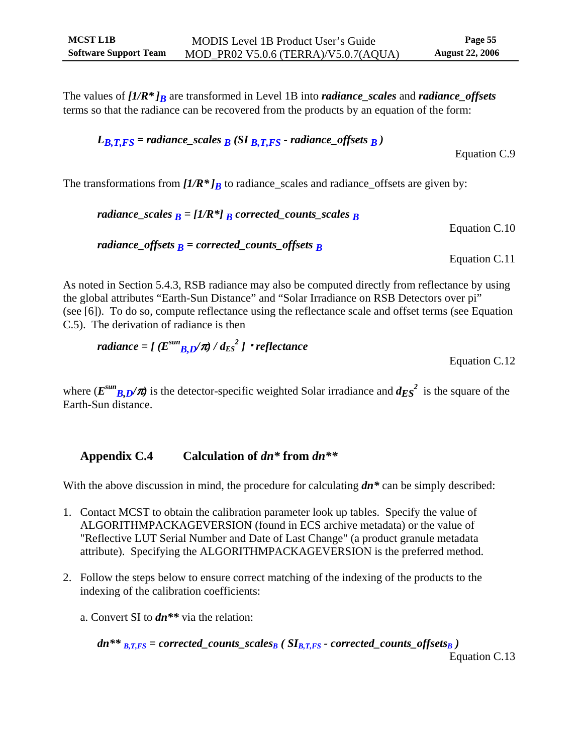<span id="page-59-0"></span>The values of  $[I/R^*]_B$  are transformed in Level 1B into *radiance\_scales* and *radiance\_offsets* terms so that the radiance can be recovered from the products by an equation of the form:

$$
L_{B,T,FS}
$$
 = radiance\_scales  $B$  (SI  $B,T,FS$  - radiance\_offsets  $B$ )

The transformations from  $[I/R^*]_B$  to radiance\_scales and radiance\_offsets are given by:

\n
$$
\text{radiance\_scales } B = [1/R^*] \, B \, \text{corrected\_counts\_scales } B
$$
\n

\n\n $\text{Equation C.10}$ \n

\n\n $\text{radiance\_offsets } B = \text{corrected\_counts\_offsets } B$ \n

\n\n $\text{Equation C.11}$ \n

As noted in Section 5.4.3, RSB radiance may also be computed directly from reflectance by using the global attributes "Earth-Sun Distance" and "Solar Irradiance on RSB Detectors over pi" (see [6]). To do so, compute reflectance using the reflectance scale and offset terms (see Equation C.5). The derivation of radiance is then

$$
radiance = \left[ \left( E^{sun} B_{,D} / \pi \right) / d_{Es}^{2} \right] \cdot reflectance
$$

Equation C.12

Equation C.9

where  $(E^{sun}B D/\pi)$  is the detector-specific weighted Solar irradiance and  $d_{ES}^2$  is the square of the Earth-Sun distance.

## **Appendix C.4 Calculation of** *dn\** **from** *dn\*\**

With the above discussion in mind, the procedure for calculating  $dn^*$  can be simply described:

- 1. Contact MCST to obtain the calibration parameter look up tables. Specify the value of ALGORITHMPACKAGEVERSION (found in ECS archive metadata) or the value of "Reflective LUT Serial Number and Date of Last Change" (a product granule metadata attribute). Specifying the ALGORITHMPACKAGEVERSION is the preferred method.
- 2. Follow the steps below to ensure correct matching of the indexing of the products to the indexing of the calibration coefficients:
	- a. Convert SI to *dn\*\** via the relation:

$$
dn^{**} \underline{B,T,FS} = corrected\_counts\_scales_B \left( SI_{B,T,FS} - corrected\_counts\_offsets_B \right)
$$
  
Equation C.13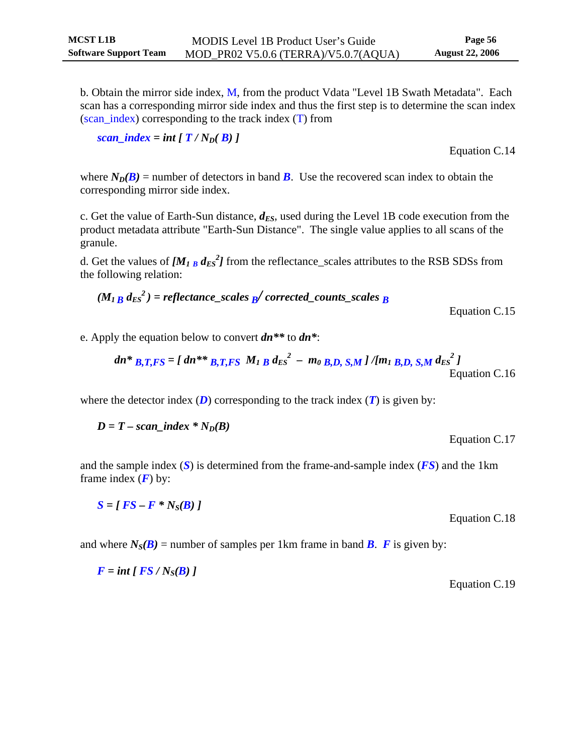b. Obtain the mirror side index, M, from the product Vdata "Level 1B Swath Metadata". Each scan has a corresponding mirror side index and thus the first step is to determine the scan index (scan\_index) corresponding to the track index (T) from

$$
scan\_index = int [T / N_D(B)]
$$

Equation C.14

where  $N_D(B)$  = number of detectors in band *B*. Use the recovered scan index to obtain the corresponding mirror side index.

c. Get the value of Earth-Sun distance,  $d_{ES}$ , used during the Level 1B code execution from the product metadata attribute "Earth-Sun Distance". The single value applies to all scans of the granule.

d. Get the values of  $[M_{1B} d_{ES}^2]$  from the reflectance\_scales attributes to the RSB SDSs from the following relation:

$$
(M_{1B} d_{ES}^{2}) = reflectance_scales_{B}/corrected_counts_scales_{B}
$$

Equation C.15

Equation C.17

e. Apply the equation below to convert *dn\*\** to *dn\**:

$$
dn*_{B,T,FS} = [dn**_{B,T,FS} M_1 B d_{ES}^2 - m_0 B,D, S,M]/[m_1 B,D, S,M d_{ES}^2]
$$
  
Equation C.16

where the detector index  $(D)$  corresponding to the track index  $(T)$  is given by:

$$
D = T - scan\_index * N_D(B)
$$

and the sample index (*S*) is determined from the frame-and-sample index (*FS*) and the 1km frame index  $(F)$  by:

$$
S = [FS - F * N_S(B)]
$$

and where  $N_S(B)$  = number of samples per 1km frame in band *B*. *F* is given by:

$$
F = int [FS / N_S(B)]
$$

Equation C.19

Equation C.18